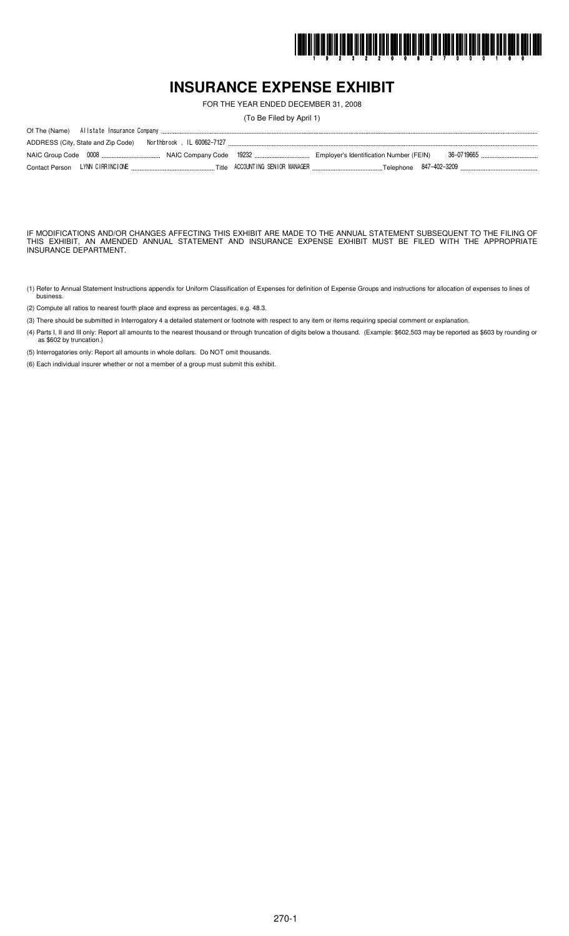

# **INSURANCE EXPENSE EXHIBIT**

FOR THE YEAR ENDED DECEMBER 31, 2008

(To Be Filed by April 1)

IF MODIFICATIONS AND/OR CHANGES AFFECTING THIS EXHIBIT ARE MADE TO THE ANNUAL STATEMENT SUBSEQUENT TO THE FILING OF THIS EXHIBIT, AN AMENDED ANNUAL STATEMENT AND INSURANCE EXPENSE EXHIBIT MUST BE FILED WITH THE APPROPRIATE INSURANCE DEPARTMENT.

- (1) Refer to Annual Statement Instructions appendix for Uniform Classification of Expenses for definition of Expense Groups and instructions for allocation of expenses to lines of busines.
- (2) Compute all ratios to nearest fourth place and express as percentages, e.g. 48.3.
- (3) There should be submitted in Interrogatory 4 a detailed statement or footnote with respect to any item or items requiring special comment or explanation.
- (4) Parts I, II and III only: Report all amounts to the nearest thousand or through truncation of digits below a thousand. (Example: \$602,503 may be reported as \$603 by rounding or as \$602 by truncation.)

(5) Interrogatories only: Report all amounts in whole dollars. Do NOT omit thousands.

(6) Each individual insurer whether or not a member of a group must submit this exhibit.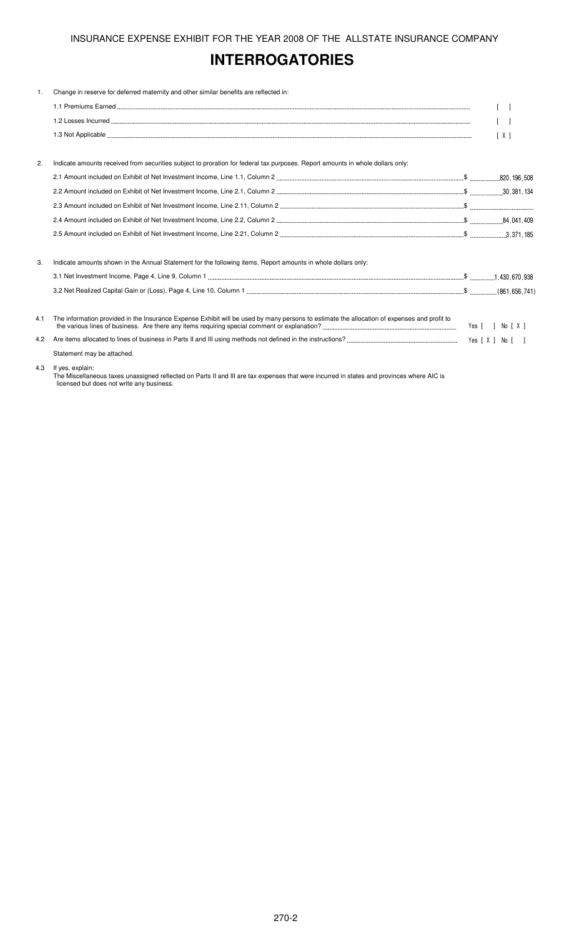# **INTERROGATORIES**

| 1.  | Change in reserve for deferred maternity and other similar benefits are reflected in:                                                       |                       |
|-----|---------------------------------------------------------------------------------------------------------------------------------------------|-----------------------|
|     |                                                                                                                                             | $\Box$                |
|     |                                                                                                                                             | $\lceil \quad \rceil$ |
|     |                                                                                                                                             | $\lceil X \rceil$     |
|     |                                                                                                                                             |                       |
| 2.  | Indicate amounts received from securities subject to proration for federal tax purposes. Report amounts in whole dollars only:              |                       |
|     |                                                                                                                                             |                       |
|     |                                                                                                                                             |                       |
|     |                                                                                                                                             |                       |
|     |                                                                                                                                             |                       |
|     |                                                                                                                                             |                       |
|     |                                                                                                                                             |                       |
| 3.  | Indicate amounts shown in the Annual Statement for the following items. Report amounts in whole dollars only:                               |                       |
|     |                                                                                                                                             |                       |
|     |                                                                                                                                             |                       |
| 4.1 | The information provided in the Insurance Expense Exhibit will be used by many persons to estimate the allocation of expenses and profit to | Yes [ ] No [ X ]      |
| 4.2 |                                                                                                                                             |                       |
|     | Statement may be attached.                                                                                                                  |                       |

#### 4.3 If yes, explain:

The Miscellaneous taxes unassigned reflected on Parts II and III are tax expenses that were incurred in states and provinces where AIC is licensed but does not write any business.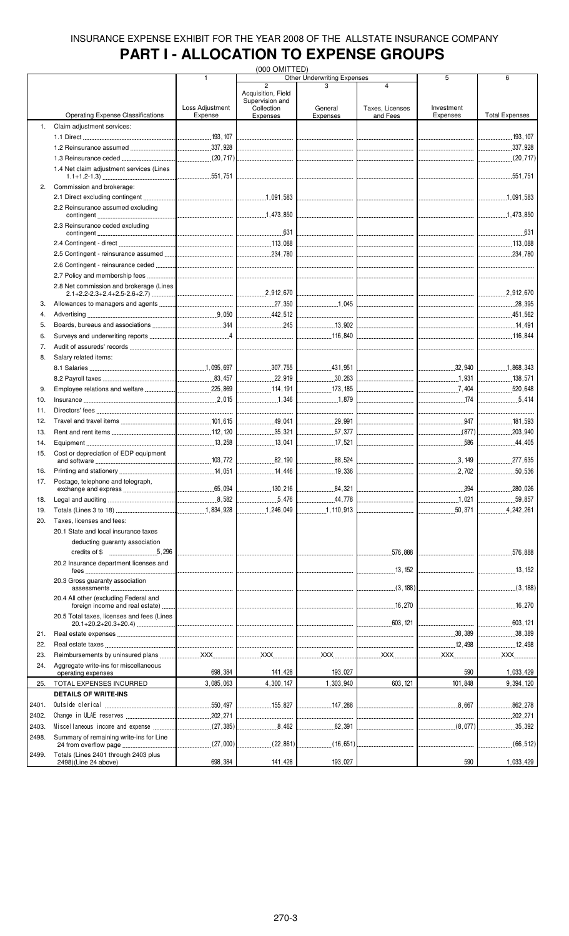# **PART I - ALLOCATION TO EXPENSE GROUPS**

|       |                                            |                                 | (000 OMITTED)                     |                                    |                                         |                                 |                       |
|-------|--------------------------------------------|---------------------------------|-----------------------------------|------------------------------------|-----------------------------------------|---------------------------------|-----------------------|
|       |                                            | 1                               | $\overline{2}$                    | <b>Other Underwriting Expenses</b> | $\overline{4}$                          | 5                               | 6                     |
|       |                                            |                                 | Acquisition, Field                |                                    |                                         |                                 |                       |
|       |                                            |                                 | Supervision and                   |                                    |                                         |                                 |                       |
|       |                                            | Loss Adjustment                 | Collection                        | General                            | Taxes, Licenses                         | Investment                      |                       |
|       | <b>Operating Expense Classifications</b>   | Expense                         | Expenses                          | Expenses                           | and Fees                                | Expenses                        | <b>Total Expenses</b> |
| 1.    | Claim adjustment services:                 |                                 |                                   |                                    |                                         |                                 |                       |
|       |                                            |                                 |                                   |                                    |                                         |                                 |                       |
|       |                                            |                                 |                                   |                                    |                                         |                                 | 337,928               |
|       |                                            |                                 |                                   |                                    | ---------------------------------       |                                 |                       |
|       | 1.4 Net claim adjustment services (Lines   |                                 |                                   |                                    |                                         |                                 |                       |
|       |                                            |                                 |                                   |                                    |                                         |                                 |                       |
| 2.    | Commission and brokerage:                  |                                 |                                   |                                    |                                         |                                 |                       |
|       |                                            |                                 |                                   |                                    |                                         |                                 |                       |
|       | 2.2 Reinsurance assumed excluding          |                                 |                                   |                                    |                                         |                                 |                       |
|       |                                            |                                 |                                   |                                    |                                         |                                 |                       |
|       | 2.3 Reinsurance ceded excluding            |                                 |                                   |                                    |                                         |                                 |                       |
|       |                                            |                                 |                                   |                                    |                                         |                                 |                       |
|       |                                            |                                 |                                   |                                    |                                         |                                 |                       |
|       |                                            |                                 |                                   |                                    |                                         |                                 |                       |
|       |                                            |                                 |                                   |                                    |                                         |                                 |                       |
|       |                                            |                                 |                                   |                                    |                                         |                                 |                       |
|       |                                            |                                 |                                   |                                    |                                         |                                 |                       |
|       | 2.8 Net commission and brokerage (Lines    |                                 |                                   |                                    |                                         |                                 |                       |
|       |                                            |                                 |                                   |                                    |                                         |                                 | 2,912,670             |
| 3.    |                                            |                                 |                                   | 1,045                              | <br> ---------------------------------- |                                 |                       |
| 4.    |                                            |                                 |                                   |                                    |                                         |                                 |                       |
| 5.    |                                            |                                 |                                   | $\frac{1}{2}$ 13,902               |                                         |                                 |                       |
| 6.    |                                            |                                 |                                   |                                    |                                         |                                 |                       |
|       |                                            |                                 |                                   |                                    |                                         |                                 |                       |
| 7.    |                                            |                                 |                                   |                                    |                                         |                                 |                       |
| 8.    | Salary related items:                      |                                 |                                   |                                    |                                         |                                 |                       |
|       |                                            |                                 |                                   |                                    |                                         |                                 | 1,868,343             |
|       |                                            |                                 |                                   |                                    |                                         | 1,931                           | 138,571               |
| 9.    |                                            |                                 |                                   | $\frac{1}{2}$ 173, 185             |                                         |                                 | .520,648<br>.         |
| 10.   |                                            |                                 | 1.346                             | $\ldots$ 1.879                     |                                         | $\sim$ 174                      | 5.414                 |
|       |                                            |                                 |                                   |                                    |                                         |                                 |                       |
| 11.   |                                            |                                 | -------------------------------   |                                    |                                         | ------------------------------- |                       |
| 12.   |                                            |                                 | 49,041                            | 29,991                             |                                         | 947                             | 181,593               |
| 13.   |                                            |                                 | 35.321                            | 57,377                             |                                         | (877)                           | 203,940               |
| 14.   |                                            |                                 | 13,041                            | L17,521                            |                                         |                                 | $\frac{44.405}{2}$    |
| 15.   | Cost or depreciation of EDP equipment      |                                 |                                   |                                    |                                         |                                 |                       |
|       |                                            |                                 | 190                               | 88.524                             |                                         |                                 |                       |
| 16.   |                                            |                                 | 14,446                            | 1.19,336                           |                                         |                                 | 50,536                |
| 17.   | Postage, telephone and telegraph,          |                                 |                                   |                                    |                                         |                                 |                       |
|       |                                            |                                 | 130.216                           | 84,321                             |                                         | 394                             | .280,026              |
| 18.   |                                            |                                 | 5,476                             | .44.778<br>.                       |                                         | 1,021                           | 59,857                |
| 19.   |                                            |                                 | 1,246,049                         | 1,110,913                          |                                         |                                 | .4,242,261<br>.       |
|       |                                            |                                 |                                   |                                    |                                         |                                 |                       |
| 20.   | Taxes, licenses and fees:                  |                                 |                                   |                                    |                                         |                                 |                       |
|       | 20.1 State and local insurance taxes       |                                 |                                   |                                    |                                         |                                 |                       |
|       | deducting guaranty association             |                                 |                                   |                                    |                                         |                                 |                       |
|       |                                            | ------------------------------- |                                   |                                    | .576,888                                |                                 | .576,888              |
|       | 20.2 Insurance department licenses and     |                                 |                                   |                                    |                                         |                                 |                       |
|       |                                            |                                 |                                   |                                    | 13,152                                  |                                 |                       |
|       | 20.3 Gross quaranty association            |                                 |                                   |                                    |                                         |                                 |                       |
|       |                                            |                                 |                                   |                                    | (3, 188)                                |                                 |                       |
|       | 20.4 All other (excluding Federal and      |                                 |                                   |                                    |                                         |                                 |                       |
|       |                                            |                                 | _________________________________ |                                    |                                         |                                 | $\frac{16}{270}$      |
|       | 20.5 Total taxes, licenses and fees (Lines |                                 |                                   |                                    |                                         |                                 |                       |
|       |                                            |                                 |                                   |                                    |                                         |                                 | .603, 121<br>.        |
| 21.   |                                            |                                 |                                   |                                    |                                         | 38,389                          | 38,389                |
| 22.   |                                            |                                 |                                   |                                    |                                         | 12,498                          | 12,498                |
| 23.   |                                            |                                 |                                   |                                    |                                         |                                 | XX                    |
| 24.   | Aggregate write-ins for miscellaneous      |                                 |                                   |                                    |                                         |                                 |                       |
|       | operating expenses                         | 698,384                         | 141,428                           | 193,027                            |                                         | 590                             | 1,033,429             |
| 25.   | TOTAL EXPENSES INCURRED                    | 3,085,063                       | 4,300,147                         | 1,303,940                          | 603, 121                                | 101,848                         | 9,394,120             |
|       |                                            |                                 |                                   |                                    |                                         |                                 |                       |
|       | <b>DETAILS OF WRITE-INS</b>                |                                 |                                   |                                    |                                         |                                 |                       |
| 2401. |                                            |                                 | 155.827                           | 147.288                            |                                         | 8.667<br>.                      | 862,278               |
| 2402. |                                            |                                 |                                   |                                    |                                         |                                 | .202,271              |
| 2403. |                                            |                                 |                                   |                                    |                                         |                                 | 35,392                |
| 2498. | Summary of remaining write-ins for Line    |                                 |                                   |                                    |                                         |                                 |                       |
|       |                                            |                                 |                                   |                                    |                                         |                                 |                       |
| 2499. | Totals (Lines 2401 through 2403 plus       |                                 |                                   |                                    |                                         |                                 |                       |
|       | 2498)(Line 24 above)                       | 698,384                         | 141,428                           | 193,027                            |                                         | 590                             | 1,033,429             |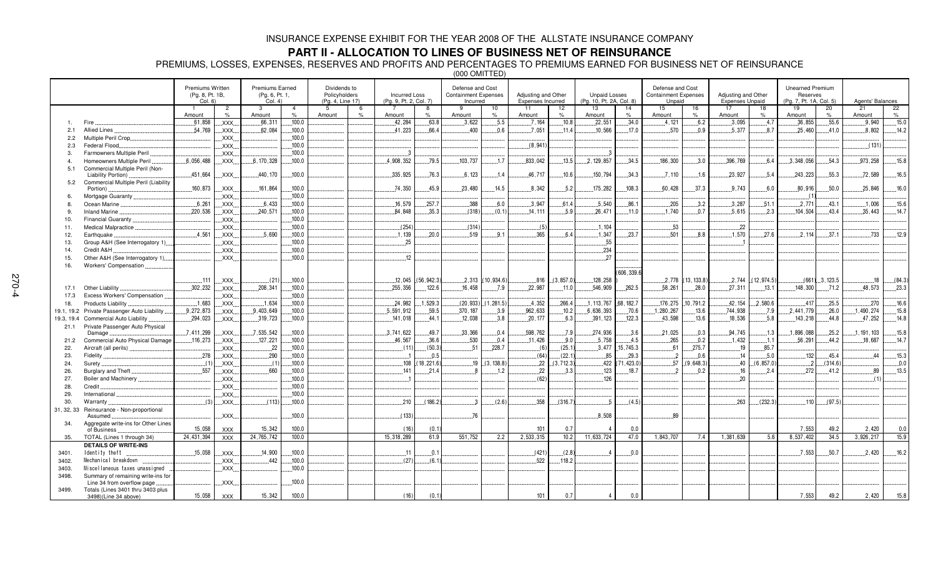### **PART II - ALLOCATION TO LINES OF BUSINESS NET OF REINSURANCE**

PREMIUMS, LOSSES, EXPENSES, RESERVES AND PROFITS AND PERCENTAGES TO PREMIUMS EARNED FOR BUSINESS NET OF REINSURANCE

(000 OMITTED)

| 15<br>22<br>$\overline{2}$<br>3<br>$\overline{4}$<br>9<br>10<br>11<br>12<br>13<br>14<br>16<br>17<br>18<br>19<br>20<br>21<br>$\overline{1}$<br>-5<br>-6<br>$\overline{7}$<br>$\frac{9}{6}$<br>$\frac{1}{2}$<br>$\%$<br>Amount<br>$\frac{1}{2}$<br>Amount<br>Amount<br>Amount<br>Amount<br>$\frac{1}{2}$<br>Amount<br>$\frac{9}{6}$<br>Amount<br>$\frac{9}{6}$<br>Amount<br>$\%$<br>Amount<br>Amount<br>$O/_{\alpha}$<br>Amount<br>.100.0<br>42,284<br>.63.8<br>.3,622<br>.5.5<br>.7.164<br>.10.8<br>.22,551<br>.34.0<br>.6.2<br>.3,095<br>.4.7<br>36,855<br>.55.6<br>.9,940<br>.15.0<br>.61.858<br>.4.121<br>XXX.<br>.66,311<br>Fire<br>.54,769<br>41.223<br>.7.051<br>10.566<br>.570<br>5.377<br>25.460<br>8.802<br>14.2<br>62.084<br>.100.0<br>66.4<br>.400<br>0.6<br>.11.4<br>.17.0<br>0.9<br>8.7<br>.41.0<br>Allied Lines<br>XXX.<br>2.1<br>.100.0<br>XXX.<br>Multiple Peril Crop<br>2.2<br>.100.0<br>(8, 941)<br>(131)<br>XXX.<br>Federal Flood<br>2.3<br>100.0<br>Farmowners Multiple Peril<br>XXX.<br>3.<br>.15.8<br>6,056,488<br>6, 170, 328<br>.100.0<br>4.908.352<br>79.5<br>103,737<br>833.042<br>13.5<br>2.129.857<br>34.5<br>186.300<br>396,769<br>.3.348.056<br>54.3<br>.973,258<br>.1.7<br>3.0<br>.6.4<br>Homeowners Multiple Peril<br>XXX.<br>$\overline{a}$<br>Commercial Multiple Peril (Non-<br>5.1<br>.335,925<br>.46,717<br>.23,927<br>.55.3<br>.72,589<br>16.5<br>451,664<br>.440, 170<br>.100.0<br>.76.3<br>.6,123<br>.1.4<br>10.6<br>.150,794<br>.5.4<br>243,223<br>XXX.<br>$-34.3$<br>.7.110<br>.1.6<br>Liability Portion)<br>Commercial Multiple Peril (Liability<br>5.2<br>.160.873<br>.161.864<br>.100.0<br>.74,350<br>45.9<br>.23.480<br>14.5<br>8.342<br>5.2<br>.175.282<br>.108.3<br>.60.428<br>.37.3<br>.9.743<br>.6.0<br>.80.916<br>.50.0<br>.25.846<br>16.0<br>XXX<br>Portion)<br>.100.0<br>XXX.<br>Mortgage Guaranty<br>$6^{\circ}$<br>.6,261<br>.16,579<br>.3,287<br>.6,433<br>.100.0<br>257.7<br>.388<br>6.0<br>.3,947<br>61.4<br>.5,540<br>.86.1<br>.205<br>.3.2<br>.51.1<br>.2,771<br>.43.1<br>.1,006<br>.15.6<br>Ocean Marine<br>XXX.<br>8.<br>.220,536<br>.240.571<br>84,848<br>35.3<br>.5.9<br>.26,471<br>1.740<br>5.615<br>104,504<br>43.4<br>14.7<br>.100.0<br>(318)<br>(0.1)<br>.0.7<br>.2.3<br>.35,443<br>XXX.<br>14.111<br>.11.0<br><b>Inland Marine</b><br>9.<br>.100.0<br>XXX.<br>Financial Guaranty.<br>10.<br>.53<br>.100.0<br>(254)<br>(314)<br>(5)<br>.1,104<br>$-22$<br>XXX.<br>11.<br>Medical Malpractice.<br>.4.561<br>5.690<br>1,570<br>.37.1<br>12.9<br>.100.0<br>.1.139<br>20.0<br>.519<br>.9.1<br>.365<br>6.4<br>1,347<br>.23.7<br>.501<br>8.8<br>27.6<br>.2.114<br>.733<br>XXX.<br>Earthquake<br>12.<br>.100.0<br>25<br>.55<br>XXX.<br>13.<br>Group A&H (See Interrogatory 1)<br>234<br>100.0<br>Credit A&H<br>XXX.<br>14.<br>100.0<br>12<br>27<br>XXX.<br>Other A&H (See Interrogatory 1)<br>15.<br>16.<br>Workers' Compensation<br>(606, 339.6<br>.12.045<br>$.2,313$ $(10,934.6)$<br>(3,857.0)<br>.128.258<br>$2.778$ $(13.133.8)$<br>$.2,744$ $(12,974.5)$<br>(84.3)<br>.111<br>(21)<br>.100.0<br>(56, 942.3)<br>.816<br>$(661)$ , 3, 123.5<br>.18<br>$\mathsf{XXX}$ .<br>.302, 232<br>.208, 341<br>.100.0<br>255,356<br>122.6<br>.16,458<br>.7.9<br>.546,909<br>.13.1<br>.23.3<br>Other Liability<br>XXX<br>.22,987<br>.11.0<br>.262.5<br>.58,261<br>.28.0<br>.27,311<br>.148,300<br>.71.2<br>.48,573<br>17.1<br>XXX<br>.100.0<br>Excess Workers' Compensation<br>17.3<br>.100.0<br>2,580.6<br>.25.5<br>16.6<br>.1,683<br>.1,634<br>.24.982<br>1,529.3<br>(20, 933)<br>(1, 281.5)<br>.4.352<br>.266.4<br>.1, 113, 767<br>.68, 182.7<br>.176, 275<br>10,791.2<br>.42, 154<br>.417<br>.270<br>XXX.<br>18.<br>Products Liability<br>9,272,873<br>9,403,649<br>5,591,912<br>962,633<br>6,636,393<br>.744,938<br>.2.441.779<br>.26.0<br>.490,274<br>.100.0<br>59.5<br>.370, 187<br>3.9<br>.10.2<br>.70.6<br>1,280,267<br>.13.6<br>.7.9<br>15.8<br>Private Passenger Auto Liability<br>XXX.<br>19.1, 19.2<br>.18,536<br>.294,023<br>.100.0<br>.3.8<br>.391, 123<br>.43,598<br>.13.6<br>.5.8<br>143,218<br>.44.8<br>.47,252<br>14.8<br>.319,723<br>.141,018<br>.44.1<br>.12,038<br>.20,177<br>.6.3<br>.122.3<br>Commercial Auto Liability<br>XXX.<br>19.3, 19.4<br>Private Passenger Auto Physical<br>21.1<br>.598,762<br>.7,411,299<br>.7,535,542<br>100.0<br>.3,741,622<br>49.7<br>.33,366<br>.0.4<br>.7.9<br>.274,936<br>.21,025<br>.0.3<br>.94,745<br>.1.3<br>1,896,088<br>.25.2<br>191, 103<br>15.8<br>XXX<br>3.6<br>Damage<br>.100.0<br>.46,567<br>.530<br>11,426<br>9.0<br>.5,758<br>.4.5<br>.265<br>.0.2<br>.1.432<br>.56, 291<br>14.7<br>116,273<br>XXX<br>.127,221<br>36.6<br>0.4<br>.1.1<br>.44.2<br>.18,687<br>Commercial Auto Physical Damage<br>21.2<br>.85.7<br>.22<br>100.0<br>(50.3)<br>.51<br>228.7<br>(6)<br>(25.1)<br>3.477<br>.15.745.3<br>61<br>275.7<br>.19<br>(11)<br>XXX.<br>22.<br>Aircraft (all perils).<br>.278<br>.85<br>132<br>.45.4<br>15.3<br>.290<br>.100.0<br>(64)<br>(22.1)<br>.29.3<br>.0.6<br>.5.0<br>.0.5<br>$\overline{\phantom{a}}$<br>.14<br>.44<br>23.<br>Fidelity<br>XXX.<br>(3.138.8)<br>.22<br>(71, 423.0)<br>(6, 857.0)<br>(1)<br>(1)<br>.100.0<br>.108<br>18,221.6<br>19<br>(3, 712.3)<br>.422<br>57<br>(9,648.3)<br>$-40$<br>(314.6)<br>0.0<br>XXX.<br>24.<br>Surety<br>13.5<br>.557<br>.100.0<br>.22<br>.0.2<br>.2.4<br>272<br>.660<br>.141<br>21.4<br>.1.2<br>3.3<br>.123<br>18.7<br>.16<br>41.2<br>.89<br>Burglary and Theft.<br>XXX.<br>2<br>26.<br>(62)<br>27.<br>.100.0<br>126<br>20<br>Boiler and Machinery<br>XXX.<br>(1)<br>.100.0<br>XXX.<br>28.<br>Credit<br>100.0<br>XXX.<br>29.<br>International<br>(113)<br>210<br>(186.2)<br>(2.6)<br>358<br>(316.7)<br>(4.5)<br>263<br>(232.3)<br>(97.5)<br>(3)<br>100.0<br>5<br>110<br>30.<br>XXX.<br>Warranty<br>Reinsurance - Non-proportional<br>31, 32, 33<br>(133)<br>.8,508<br>.100.0<br>.76<br>89<br>XXX.<br>Assumed<br>Aggregate write-ins for Other Lines<br>34.<br>100.0<br>101<br>0.7<br>49.2<br>15.058<br>15.342<br>(16)<br>(0.1)<br>0.0<br>7,553<br>2,420<br>0.0<br><b>XXX</b><br>of Business<br>2.533.315<br>10.2<br>11.633.724<br>47.0<br>3.926.217<br>15.9<br>24.431.394<br>24,765,742<br>100.0<br>15.318.289<br>61.9<br>551.752<br>2.2<br>1.843.707<br>7.4<br>1.381.639<br>5.6<br>8.537.402<br>34.5<br>TOTAL (Lines 1 through 34)<br><b>XXX</b><br>35.<br><b>DETAILS OF WRITE-INS</b><br>16.2<br>.15,058<br>100.0<br>.7.553<br>.50.7<br>.2.420<br>.14,900<br>.0.1<br>(421)<br>(2.8)<br>0.0<br>XXX.<br>.11<br>3401.<br>Identity theft<br>442<br>100.0<br>(27)<br>(6.1)<br>.522<br>118.2<br>Mechanical breakdown<br>XXX.<br>3402.<br>100.0<br>Miscellaneous taxes unassigned<br>XXX.<br>3403.<br>3498.<br>Summary of remaining write-ins for<br>.100.0<br>XXX.<br>Line 34 from overflow page<br>Totals (Lines 3401 thru 3403 plus<br>3499.<br>15.058<br>15.342<br>100.0<br>(16)<br>101<br>0.7<br>7.553<br>49.2<br>2.420<br>15.8<br><b>XXX</b><br>(0.1)<br>0.0<br>$\overline{4}$<br>3498)(Line 34 above) |  | <b>Premiums Written</b><br>(Pg. 8, Pt. 1B,<br>Col. 6) | <b>Premiums Earned</b><br>(Pg. 6, Pt. 1,<br>Col. 4) | Dividends to<br>Policyholders<br>(Pq. 4, Line 17) | <b>Incurred Loss</b><br>(Pg. 9, Pt. 2, Col. 7) | Defense and Cost<br><b>Containment Expenses</b><br>Incurred | Adjusting and Other<br>Expenses Incurred | <b>Unpaid Losses</b><br>(Pg. 10, Pt. 2A, Col. 8) | Defense and Cost<br><b>Containment Expenses</b><br>Unpaid | Adjusting and Other<br><b>Expenses Unpaid</b> | Unearned Premium<br>Reserves<br>(Pg. 7, Pt. 1A, Col. 5) | Agents' Balances |  |
|-----------------------------------------------------------------------------------------------------------------------------------------------------------------------------------------------------------------------------------------------------------------------------------------------------------------------------------------------------------------------------------------------------------------------------------------------------------------------------------------------------------------------------------------------------------------------------------------------------------------------------------------------------------------------------------------------------------------------------------------------------------------------------------------------------------------------------------------------------------------------------------------------------------------------------------------------------------------------------------------------------------------------------------------------------------------------------------------------------------------------------------------------------------------------------------------------------------------------------------------------------------------------------------------------------------------------------------------------------------------------------------------------------------------------------------------------------------------------------------------------------------------------------------------------------------------------------------------------------------------------------------------------------------------------------------------------------------------------------------------------------------------------------------------------------------------------------------------------------------------------------------------------------------------------------------------------------------------------------------------------------------------------------------------------------------------------------------------------------------------------------------------------------------------------------------------------------------------------------------------------------------------------------------------------------------------------------------------------------------------------------------------------------------------------------------------------------------------------------------------------------------------------------------------------------------------------------------------------------------------------------------------------------------------------------------------------------------------------------------------------------------------------------------------------------------------------------------------------------------------------------------------------------------------------------------------------------------------------------------------------------------------------------------------------------------------------------------------------------------------------------------------------------------------------------------------------------------------------------------------------------------------------------------------------------------------------------------------------------------------------------------------------------------------------------------------------------------------------------------------------------------------------------------------------------------------------------------------------------------------------------------------------------------------------------------------------------------------------------------------------------------------------------------------------------------------------------------------------------------------------------------------------------------------------------------------------------------------------------------------------------------------------------------------------------------------------------------------------------------------------------------------------------------------------------------------------------------------------------------------------------------------------------------------------------------------------------------------------------------------------------------------------------------------------------------------------------------------------------------------------------------------------------------------------------------------------------------------------------------------------------------------------------------------------------------------------------------------------------------------------------------------------------------------------------------------------------------------------------------------------------------------------------------------------------------------------------------------------------------------------------------------------------------------------------------------------------------------------------------------------------------------------------------------------------------------------------------------------------------------------------------------------------------------------------------------------------------------------------------------------------------------------------------------------------------------------------------------------------------------------------------------------------------------------------------------------------------------------------------------------------------------------------------------------------------------------------------------------------------------------------------------------------------------------------------------------------------------------------------------------------------------------------------------------------------------------------------------------------------------------------------------------------------------------------------------------------------------------------------------------------------------------------------------------------------------------------------------------------------------------------------------------------------------------------------------------------------------------------------------------------------------------------------------------------------------------------------------------------------------------------------------------------------------------------------------------------------------------------------------------------------------------------------------------------------------------------------------------------------------------------------------------------------------------------------------------------------------------------------------------------------------------------------------------------------------------------------------------------------|--|-------------------------------------------------------|-----------------------------------------------------|---------------------------------------------------|------------------------------------------------|-------------------------------------------------------------|------------------------------------------|--------------------------------------------------|-----------------------------------------------------------|-----------------------------------------------|---------------------------------------------------------|------------------|--|
|                                                                                                                                                                                                                                                                                                                                                                                                                                                                                                                                                                                                                                                                                                                                                                                                                                                                                                                                                                                                                                                                                                                                                                                                                                                                                                                                                                                                                                                                                                                                                                                                                                                                                                                                                                                                                                                                                                                                                                                                                                                                                                                                                                                                                                                                                                                                                                                                                                                                                                                                                                                                                                                                                                                                                                                                                                                                                                                                                                                                                                                                                                                                                                                                                                                                                                                                                                                                                                                                                                                                                                                                                                                                                                                                                                                                                                                                                                                                                                                                                                                                                                                                                                                                                                                                                                                                                                                                                                                                                                                                                                                                                                                                                                                                                                                                                                                                                                                                                                                                                                                                                                                                                                                                                                                                                                                                                                                                                                                                                                                                                                                                                                                                                                                                                                                                                                                                                                                                                                                                                                                                                                                                                                                                                                                                                                                                                                                                                                                                                                                                                                                                                                                                                                                                                                                                                                                                                                                                                                                   |  |                                                       |                                                     |                                                   |                                                |                                                             |                                          |                                                  |                                                           |                                               |                                                         |                  |  |
|                                                                                                                                                                                                                                                                                                                                                                                                                                                                                                                                                                                                                                                                                                                                                                                                                                                                                                                                                                                                                                                                                                                                                                                                                                                                                                                                                                                                                                                                                                                                                                                                                                                                                                                                                                                                                                                                                                                                                                                                                                                                                                                                                                                                                                                                                                                                                                                                                                                                                                                                                                                                                                                                                                                                                                                                                                                                                                                                                                                                                                                                                                                                                                                                                                                                                                                                                                                                                                                                                                                                                                                                                                                                                                                                                                                                                                                                                                                                                                                                                                                                                                                                                                                                                                                                                                                                                                                                                                                                                                                                                                                                                                                                                                                                                                                                                                                                                                                                                                                                                                                                                                                                                                                                                                                                                                                                                                                                                                                                                                                                                                                                                                                                                                                                                                                                                                                                                                                                                                                                                                                                                                                                                                                                                                                                                                                                                                                                                                                                                                                                                                                                                                                                                                                                                                                                                                                                                                                                                                                   |  |                                                       |                                                     |                                                   |                                                |                                                             |                                          |                                                  |                                                           |                                               |                                                         |                  |  |
|                                                                                                                                                                                                                                                                                                                                                                                                                                                                                                                                                                                                                                                                                                                                                                                                                                                                                                                                                                                                                                                                                                                                                                                                                                                                                                                                                                                                                                                                                                                                                                                                                                                                                                                                                                                                                                                                                                                                                                                                                                                                                                                                                                                                                                                                                                                                                                                                                                                                                                                                                                                                                                                                                                                                                                                                                                                                                                                                                                                                                                                                                                                                                                                                                                                                                                                                                                                                                                                                                                                                                                                                                                                                                                                                                                                                                                                                                                                                                                                                                                                                                                                                                                                                                                                                                                                                                                                                                                                                                                                                                                                                                                                                                                                                                                                                                                                                                                                                                                                                                                                                                                                                                                                                                                                                                                                                                                                                                                                                                                                                                                                                                                                                                                                                                                                                                                                                                                                                                                                                                                                                                                                                                                                                                                                                                                                                                                                                                                                                                                                                                                                                                                                                                                                                                                                                                                                                                                                                                                                   |  |                                                       |                                                     |                                                   |                                                |                                                             |                                          |                                                  |                                                           |                                               |                                                         |                  |  |
|                                                                                                                                                                                                                                                                                                                                                                                                                                                                                                                                                                                                                                                                                                                                                                                                                                                                                                                                                                                                                                                                                                                                                                                                                                                                                                                                                                                                                                                                                                                                                                                                                                                                                                                                                                                                                                                                                                                                                                                                                                                                                                                                                                                                                                                                                                                                                                                                                                                                                                                                                                                                                                                                                                                                                                                                                                                                                                                                                                                                                                                                                                                                                                                                                                                                                                                                                                                                                                                                                                                                                                                                                                                                                                                                                                                                                                                                                                                                                                                                                                                                                                                                                                                                                                                                                                                                                                                                                                                                                                                                                                                                                                                                                                                                                                                                                                                                                                                                                                                                                                                                                                                                                                                                                                                                                                                                                                                                                                                                                                                                                                                                                                                                                                                                                                                                                                                                                                                                                                                                                                                                                                                                                                                                                                                                                                                                                                                                                                                                                                                                                                                                                                                                                                                                                                                                                                                                                                                                                                                   |  |                                                       |                                                     |                                                   |                                                |                                                             |                                          |                                                  |                                                           |                                               |                                                         |                  |  |
|                                                                                                                                                                                                                                                                                                                                                                                                                                                                                                                                                                                                                                                                                                                                                                                                                                                                                                                                                                                                                                                                                                                                                                                                                                                                                                                                                                                                                                                                                                                                                                                                                                                                                                                                                                                                                                                                                                                                                                                                                                                                                                                                                                                                                                                                                                                                                                                                                                                                                                                                                                                                                                                                                                                                                                                                                                                                                                                                                                                                                                                                                                                                                                                                                                                                                                                                                                                                                                                                                                                                                                                                                                                                                                                                                                                                                                                                                                                                                                                                                                                                                                                                                                                                                                                                                                                                                                                                                                                                                                                                                                                                                                                                                                                                                                                                                                                                                                                                                                                                                                                                                                                                                                                                                                                                                                                                                                                                                                                                                                                                                                                                                                                                                                                                                                                                                                                                                                                                                                                                                                                                                                                                                                                                                                                                                                                                                                                                                                                                                                                                                                                                                                                                                                                                                                                                                                                                                                                                                                                   |  |                                                       |                                                     |                                                   |                                                |                                                             |                                          |                                                  |                                                           |                                               |                                                         |                  |  |
|                                                                                                                                                                                                                                                                                                                                                                                                                                                                                                                                                                                                                                                                                                                                                                                                                                                                                                                                                                                                                                                                                                                                                                                                                                                                                                                                                                                                                                                                                                                                                                                                                                                                                                                                                                                                                                                                                                                                                                                                                                                                                                                                                                                                                                                                                                                                                                                                                                                                                                                                                                                                                                                                                                                                                                                                                                                                                                                                                                                                                                                                                                                                                                                                                                                                                                                                                                                                                                                                                                                                                                                                                                                                                                                                                                                                                                                                                                                                                                                                                                                                                                                                                                                                                                                                                                                                                                                                                                                                                                                                                                                                                                                                                                                                                                                                                                                                                                                                                                                                                                                                                                                                                                                                                                                                                                                                                                                                                                                                                                                                                                                                                                                                                                                                                                                                                                                                                                                                                                                                                                                                                                                                                                                                                                                                                                                                                                                                                                                                                                                                                                                                                                                                                                                                                                                                                                                                                                                                                                                   |  |                                                       |                                                     |                                                   |                                                |                                                             |                                          |                                                  |                                                           |                                               |                                                         |                  |  |
|                                                                                                                                                                                                                                                                                                                                                                                                                                                                                                                                                                                                                                                                                                                                                                                                                                                                                                                                                                                                                                                                                                                                                                                                                                                                                                                                                                                                                                                                                                                                                                                                                                                                                                                                                                                                                                                                                                                                                                                                                                                                                                                                                                                                                                                                                                                                                                                                                                                                                                                                                                                                                                                                                                                                                                                                                                                                                                                                                                                                                                                                                                                                                                                                                                                                                                                                                                                                                                                                                                                                                                                                                                                                                                                                                                                                                                                                                                                                                                                                                                                                                                                                                                                                                                                                                                                                                                                                                                                                                                                                                                                                                                                                                                                                                                                                                                                                                                                                                                                                                                                                                                                                                                                                                                                                                                                                                                                                                                                                                                                                                                                                                                                                                                                                                                                                                                                                                                                                                                                                                                                                                                                                                                                                                                                                                                                                                                                                                                                                                                                                                                                                                                                                                                                                                                                                                                                                                                                                                                                   |  |                                                       |                                                     |                                                   |                                                |                                                             |                                          |                                                  |                                                           |                                               |                                                         |                  |  |
|                                                                                                                                                                                                                                                                                                                                                                                                                                                                                                                                                                                                                                                                                                                                                                                                                                                                                                                                                                                                                                                                                                                                                                                                                                                                                                                                                                                                                                                                                                                                                                                                                                                                                                                                                                                                                                                                                                                                                                                                                                                                                                                                                                                                                                                                                                                                                                                                                                                                                                                                                                                                                                                                                                                                                                                                                                                                                                                                                                                                                                                                                                                                                                                                                                                                                                                                                                                                                                                                                                                                                                                                                                                                                                                                                                                                                                                                                                                                                                                                                                                                                                                                                                                                                                                                                                                                                                                                                                                                                                                                                                                                                                                                                                                                                                                                                                                                                                                                                                                                                                                                                                                                                                                                                                                                                                                                                                                                                                                                                                                                                                                                                                                                                                                                                                                                                                                                                                                                                                                                                                                                                                                                                                                                                                                                                                                                                                                                                                                                                                                                                                                                                                                                                                                                                                                                                                                                                                                                                                                   |  |                                                       |                                                     |                                                   |                                                |                                                             |                                          |                                                  |                                                           |                                               |                                                         |                  |  |
|                                                                                                                                                                                                                                                                                                                                                                                                                                                                                                                                                                                                                                                                                                                                                                                                                                                                                                                                                                                                                                                                                                                                                                                                                                                                                                                                                                                                                                                                                                                                                                                                                                                                                                                                                                                                                                                                                                                                                                                                                                                                                                                                                                                                                                                                                                                                                                                                                                                                                                                                                                                                                                                                                                                                                                                                                                                                                                                                                                                                                                                                                                                                                                                                                                                                                                                                                                                                                                                                                                                                                                                                                                                                                                                                                                                                                                                                                                                                                                                                                                                                                                                                                                                                                                                                                                                                                                                                                                                                                                                                                                                                                                                                                                                                                                                                                                                                                                                                                                                                                                                                                                                                                                                                                                                                                                                                                                                                                                                                                                                                                                                                                                                                                                                                                                                                                                                                                                                                                                                                                                                                                                                                                                                                                                                                                                                                                                                                                                                                                                                                                                                                                                                                                                                                                                                                                                                                                                                                                                                   |  |                                                       |                                                     |                                                   |                                                |                                                             |                                          |                                                  |                                                           |                                               |                                                         |                  |  |
|                                                                                                                                                                                                                                                                                                                                                                                                                                                                                                                                                                                                                                                                                                                                                                                                                                                                                                                                                                                                                                                                                                                                                                                                                                                                                                                                                                                                                                                                                                                                                                                                                                                                                                                                                                                                                                                                                                                                                                                                                                                                                                                                                                                                                                                                                                                                                                                                                                                                                                                                                                                                                                                                                                                                                                                                                                                                                                                                                                                                                                                                                                                                                                                                                                                                                                                                                                                                                                                                                                                                                                                                                                                                                                                                                                                                                                                                                                                                                                                                                                                                                                                                                                                                                                                                                                                                                                                                                                                                                                                                                                                                                                                                                                                                                                                                                                                                                                                                                                                                                                                                                                                                                                                                                                                                                                                                                                                                                                                                                                                                                                                                                                                                                                                                                                                                                                                                                                                                                                                                                                                                                                                                                                                                                                                                                                                                                                                                                                                                                                                                                                                                                                                                                                                                                                                                                                                                                                                                                                                   |  |                                                       |                                                     |                                                   |                                                |                                                             |                                          |                                                  |                                                           |                                               |                                                         |                  |  |
|                                                                                                                                                                                                                                                                                                                                                                                                                                                                                                                                                                                                                                                                                                                                                                                                                                                                                                                                                                                                                                                                                                                                                                                                                                                                                                                                                                                                                                                                                                                                                                                                                                                                                                                                                                                                                                                                                                                                                                                                                                                                                                                                                                                                                                                                                                                                                                                                                                                                                                                                                                                                                                                                                                                                                                                                                                                                                                                                                                                                                                                                                                                                                                                                                                                                                                                                                                                                                                                                                                                                                                                                                                                                                                                                                                                                                                                                                                                                                                                                                                                                                                                                                                                                                                                                                                                                                                                                                                                                                                                                                                                                                                                                                                                                                                                                                                                                                                                                                                                                                                                                                                                                                                                                                                                                                                                                                                                                                                                                                                                                                                                                                                                                                                                                                                                                                                                                                                                                                                                                                                                                                                                                                                                                                                                                                                                                                                                                                                                                                                                                                                                                                                                                                                                                                                                                                                                                                                                                                                                   |  |                                                       |                                                     |                                                   |                                                |                                                             |                                          |                                                  |                                                           |                                               |                                                         |                  |  |
|                                                                                                                                                                                                                                                                                                                                                                                                                                                                                                                                                                                                                                                                                                                                                                                                                                                                                                                                                                                                                                                                                                                                                                                                                                                                                                                                                                                                                                                                                                                                                                                                                                                                                                                                                                                                                                                                                                                                                                                                                                                                                                                                                                                                                                                                                                                                                                                                                                                                                                                                                                                                                                                                                                                                                                                                                                                                                                                                                                                                                                                                                                                                                                                                                                                                                                                                                                                                                                                                                                                                                                                                                                                                                                                                                                                                                                                                                                                                                                                                                                                                                                                                                                                                                                                                                                                                                                                                                                                                                                                                                                                                                                                                                                                                                                                                                                                                                                                                                                                                                                                                                                                                                                                                                                                                                                                                                                                                                                                                                                                                                                                                                                                                                                                                                                                                                                                                                                                                                                                                                                                                                                                                                                                                                                                                                                                                                                                                                                                                                                                                                                                                                                                                                                                                                                                                                                                                                                                                                                                   |  |                                                       |                                                     |                                                   |                                                |                                                             |                                          |                                                  |                                                           |                                               |                                                         |                  |  |
|                                                                                                                                                                                                                                                                                                                                                                                                                                                                                                                                                                                                                                                                                                                                                                                                                                                                                                                                                                                                                                                                                                                                                                                                                                                                                                                                                                                                                                                                                                                                                                                                                                                                                                                                                                                                                                                                                                                                                                                                                                                                                                                                                                                                                                                                                                                                                                                                                                                                                                                                                                                                                                                                                                                                                                                                                                                                                                                                                                                                                                                                                                                                                                                                                                                                                                                                                                                                                                                                                                                                                                                                                                                                                                                                                                                                                                                                                                                                                                                                                                                                                                                                                                                                                                                                                                                                                                                                                                                                                                                                                                                                                                                                                                                                                                                                                                                                                                                                                                                                                                                                                                                                                                                                                                                                                                                                                                                                                                                                                                                                                                                                                                                                                                                                                                                                                                                                                                                                                                                                                                                                                                                                                                                                                                                                                                                                                                                                                                                                                                                                                                                                                                                                                                                                                                                                                                                                                                                                                                                   |  |                                                       |                                                     |                                                   |                                                |                                                             |                                          |                                                  |                                                           |                                               |                                                         |                  |  |
|                                                                                                                                                                                                                                                                                                                                                                                                                                                                                                                                                                                                                                                                                                                                                                                                                                                                                                                                                                                                                                                                                                                                                                                                                                                                                                                                                                                                                                                                                                                                                                                                                                                                                                                                                                                                                                                                                                                                                                                                                                                                                                                                                                                                                                                                                                                                                                                                                                                                                                                                                                                                                                                                                                                                                                                                                                                                                                                                                                                                                                                                                                                                                                                                                                                                                                                                                                                                                                                                                                                                                                                                                                                                                                                                                                                                                                                                                                                                                                                                                                                                                                                                                                                                                                                                                                                                                                                                                                                                                                                                                                                                                                                                                                                                                                                                                                                                                                                                                                                                                                                                                                                                                                                                                                                                                                                                                                                                                                                                                                                                                                                                                                                                                                                                                                                                                                                                                                                                                                                                                                                                                                                                                                                                                                                                                                                                                                                                                                                                                                                                                                                                                                                                                                                                                                                                                                                                                                                                                                                   |  |                                                       |                                                     |                                                   |                                                |                                                             |                                          |                                                  |                                                           |                                               |                                                         |                  |  |
|                                                                                                                                                                                                                                                                                                                                                                                                                                                                                                                                                                                                                                                                                                                                                                                                                                                                                                                                                                                                                                                                                                                                                                                                                                                                                                                                                                                                                                                                                                                                                                                                                                                                                                                                                                                                                                                                                                                                                                                                                                                                                                                                                                                                                                                                                                                                                                                                                                                                                                                                                                                                                                                                                                                                                                                                                                                                                                                                                                                                                                                                                                                                                                                                                                                                                                                                                                                                                                                                                                                                                                                                                                                                                                                                                                                                                                                                                                                                                                                                                                                                                                                                                                                                                                                                                                                                                                                                                                                                                                                                                                                                                                                                                                                                                                                                                                                                                                                                                                                                                                                                                                                                                                                                                                                                                                                                                                                                                                                                                                                                                                                                                                                                                                                                                                                                                                                                                                                                                                                                                                                                                                                                                                                                                                                                                                                                                                                                                                                                                                                                                                                                                                                                                                                                                                                                                                                                                                                                                                                   |  |                                                       |                                                     |                                                   |                                                |                                                             |                                          |                                                  |                                                           |                                               |                                                         |                  |  |
|                                                                                                                                                                                                                                                                                                                                                                                                                                                                                                                                                                                                                                                                                                                                                                                                                                                                                                                                                                                                                                                                                                                                                                                                                                                                                                                                                                                                                                                                                                                                                                                                                                                                                                                                                                                                                                                                                                                                                                                                                                                                                                                                                                                                                                                                                                                                                                                                                                                                                                                                                                                                                                                                                                                                                                                                                                                                                                                                                                                                                                                                                                                                                                                                                                                                                                                                                                                                                                                                                                                                                                                                                                                                                                                                                                                                                                                                                                                                                                                                                                                                                                                                                                                                                                                                                                                                                                                                                                                                                                                                                                                                                                                                                                                                                                                                                                                                                                                                                                                                                                                                                                                                                                                                                                                                                                                                                                                                                                                                                                                                                                                                                                                                                                                                                                                                                                                                                                                                                                                                                                                                                                                                                                                                                                                                                                                                                                                                                                                                                                                                                                                                                                                                                                                                                                                                                                                                                                                                                                                   |  |                                                       |                                                     |                                                   |                                                |                                                             |                                          |                                                  |                                                           |                                               |                                                         |                  |  |
|                                                                                                                                                                                                                                                                                                                                                                                                                                                                                                                                                                                                                                                                                                                                                                                                                                                                                                                                                                                                                                                                                                                                                                                                                                                                                                                                                                                                                                                                                                                                                                                                                                                                                                                                                                                                                                                                                                                                                                                                                                                                                                                                                                                                                                                                                                                                                                                                                                                                                                                                                                                                                                                                                                                                                                                                                                                                                                                                                                                                                                                                                                                                                                                                                                                                                                                                                                                                                                                                                                                                                                                                                                                                                                                                                                                                                                                                                                                                                                                                                                                                                                                                                                                                                                                                                                                                                                                                                                                                                                                                                                                                                                                                                                                                                                                                                                                                                                                                                                                                                                                                                                                                                                                                                                                                                                                                                                                                                                                                                                                                                                                                                                                                                                                                                                                                                                                                                                                                                                                                                                                                                                                                                                                                                                                                                                                                                                                                                                                                                                                                                                                                                                                                                                                                                                                                                                                                                                                                                                                   |  |                                                       |                                                     |                                                   |                                                |                                                             |                                          |                                                  |                                                           |                                               |                                                         |                  |  |
|                                                                                                                                                                                                                                                                                                                                                                                                                                                                                                                                                                                                                                                                                                                                                                                                                                                                                                                                                                                                                                                                                                                                                                                                                                                                                                                                                                                                                                                                                                                                                                                                                                                                                                                                                                                                                                                                                                                                                                                                                                                                                                                                                                                                                                                                                                                                                                                                                                                                                                                                                                                                                                                                                                                                                                                                                                                                                                                                                                                                                                                                                                                                                                                                                                                                                                                                                                                                                                                                                                                                                                                                                                                                                                                                                                                                                                                                                                                                                                                                                                                                                                                                                                                                                                                                                                                                                                                                                                                                                                                                                                                                                                                                                                                                                                                                                                                                                                                                                                                                                                                                                                                                                                                                                                                                                                                                                                                                                                                                                                                                                                                                                                                                                                                                                                                                                                                                                                                                                                                                                                                                                                                                                                                                                                                                                                                                                                                                                                                                                                                                                                                                                                                                                                                                                                                                                                                                                                                                                                                   |  |                                                       |                                                     |                                                   |                                                |                                                             |                                          |                                                  |                                                           |                                               |                                                         |                  |  |
|                                                                                                                                                                                                                                                                                                                                                                                                                                                                                                                                                                                                                                                                                                                                                                                                                                                                                                                                                                                                                                                                                                                                                                                                                                                                                                                                                                                                                                                                                                                                                                                                                                                                                                                                                                                                                                                                                                                                                                                                                                                                                                                                                                                                                                                                                                                                                                                                                                                                                                                                                                                                                                                                                                                                                                                                                                                                                                                                                                                                                                                                                                                                                                                                                                                                                                                                                                                                                                                                                                                                                                                                                                                                                                                                                                                                                                                                                                                                                                                                                                                                                                                                                                                                                                                                                                                                                                                                                                                                                                                                                                                                                                                                                                                                                                                                                                                                                                                                                                                                                                                                                                                                                                                                                                                                                                                                                                                                                                                                                                                                                                                                                                                                                                                                                                                                                                                                                                                                                                                                                                                                                                                                                                                                                                                                                                                                                                                                                                                                                                                                                                                                                                                                                                                                                                                                                                                                                                                                                                                   |  |                                                       |                                                     |                                                   |                                                |                                                             |                                          |                                                  |                                                           |                                               |                                                         |                  |  |
|                                                                                                                                                                                                                                                                                                                                                                                                                                                                                                                                                                                                                                                                                                                                                                                                                                                                                                                                                                                                                                                                                                                                                                                                                                                                                                                                                                                                                                                                                                                                                                                                                                                                                                                                                                                                                                                                                                                                                                                                                                                                                                                                                                                                                                                                                                                                                                                                                                                                                                                                                                                                                                                                                                                                                                                                                                                                                                                                                                                                                                                                                                                                                                                                                                                                                                                                                                                                                                                                                                                                                                                                                                                                                                                                                                                                                                                                                                                                                                                                                                                                                                                                                                                                                                                                                                                                                                                                                                                                                                                                                                                                                                                                                                                                                                                                                                                                                                                                                                                                                                                                                                                                                                                                                                                                                                                                                                                                                                                                                                                                                                                                                                                                                                                                                                                                                                                                                                                                                                                                                                                                                                                                                                                                                                                                                                                                                                                                                                                                                                                                                                                                                                                                                                                                                                                                                                                                                                                                                                                   |  |                                                       |                                                     |                                                   |                                                |                                                             |                                          |                                                  |                                                           |                                               |                                                         |                  |  |
|                                                                                                                                                                                                                                                                                                                                                                                                                                                                                                                                                                                                                                                                                                                                                                                                                                                                                                                                                                                                                                                                                                                                                                                                                                                                                                                                                                                                                                                                                                                                                                                                                                                                                                                                                                                                                                                                                                                                                                                                                                                                                                                                                                                                                                                                                                                                                                                                                                                                                                                                                                                                                                                                                                                                                                                                                                                                                                                                                                                                                                                                                                                                                                                                                                                                                                                                                                                                                                                                                                                                                                                                                                                                                                                                                                                                                                                                                                                                                                                                                                                                                                                                                                                                                                                                                                                                                                                                                                                                                                                                                                                                                                                                                                                                                                                                                                                                                                                                                                                                                                                                                                                                                                                                                                                                                                                                                                                                                                                                                                                                                                                                                                                                                                                                                                                                                                                                                                                                                                                                                                                                                                                                                                                                                                                                                                                                                                                                                                                                                                                                                                                                                                                                                                                                                                                                                                                                                                                                                                                   |  |                                                       |                                                     |                                                   |                                                |                                                             |                                          |                                                  |                                                           |                                               |                                                         |                  |  |
|                                                                                                                                                                                                                                                                                                                                                                                                                                                                                                                                                                                                                                                                                                                                                                                                                                                                                                                                                                                                                                                                                                                                                                                                                                                                                                                                                                                                                                                                                                                                                                                                                                                                                                                                                                                                                                                                                                                                                                                                                                                                                                                                                                                                                                                                                                                                                                                                                                                                                                                                                                                                                                                                                                                                                                                                                                                                                                                                                                                                                                                                                                                                                                                                                                                                                                                                                                                                                                                                                                                                                                                                                                                                                                                                                                                                                                                                                                                                                                                                                                                                                                                                                                                                                                                                                                                                                                                                                                                                                                                                                                                                                                                                                                                                                                                                                                                                                                                                                                                                                                                                                                                                                                                                                                                                                                                                                                                                                                                                                                                                                                                                                                                                                                                                                                                                                                                                                                                                                                                                                                                                                                                                                                                                                                                                                                                                                                                                                                                                                                                                                                                                                                                                                                                                                                                                                                                                                                                                                                                   |  |                                                       |                                                     |                                                   |                                                |                                                             |                                          |                                                  |                                                           |                                               |                                                         |                  |  |
|                                                                                                                                                                                                                                                                                                                                                                                                                                                                                                                                                                                                                                                                                                                                                                                                                                                                                                                                                                                                                                                                                                                                                                                                                                                                                                                                                                                                                                                                                                                                                                                                                                                                                                                                                                                                                                                                                                                                                                                                                                                                                                                                                                                                                                                                                                                                                                                                                                                                                                                                                                                                                                                                                                                                                                                                                                                                                                                                                                                                                                                                                                                                                                                                                                                                                                                                                                                                                                                                                                                                                                                                                                                                                                                                                                                                                                                                                                                                                                                                                                                                                                                                                                                                                                                                                                                                                                                                                                                                                                                                                                                                                                                                                                                                                                                                                                                                                                                                                                                                                                                                                                                                                                                                                                                                                                                                                                                                                                                                                                                                                                                                                                                                                                                                                                                                                                                                                                                                                                                                                                                                                                                                                                                                                                                                                                                                                                                                                                                                                                                                                                                                                                                                                                                                                                                                                                                                                                                                                                                   |  |                                                       |                                                     |                                                   |                                                |                                                             |                                          |                                                  |                                                           |                                               |                                                         |                  |  |
|                                                                                                                                                                                                                                                                                                                                                                                                                                                                                                                                                                                                                                                                                                                                                                                                                                                                                                                                                                                                                                                                                                                                                                                                                                                                                                                                                                                                                                                                                                                                                                                                                                                                                                                                                                                                                                                                                                                                                                                                                                                                                                                                                                                                                                                                                                                                                                                                                                                                                                                                                                                                                                                                                                                                                                                                                                                                                                                                                                                                                                                                                                                                                                                                                                                                                                                                                                                                                                                                                                                                                                                                                                                                                                                                                                                                                                                                                                                                                                                                                                                                                                                                                                                                                                                                                                                                                                                                                                                                                                                                                                                                                                                                                                                                                                                                                                                                                                                                                                                                                                                                                                                                                                                                                                                                                                                                                                                                                                                                                                                                                                                                                                                                                                                                                                                                                                                                                                                                                                                                                                                                                                                                                                                                                                                                                                                                                                                                                                                                                                                                                                                                                                                                                                                                                                                                                                                                                                                                                                                   |  |                                                       |                                                     |                                                   |                                                |                                                             |                                          |                                                  |                                                           |                                               |                                                         |                  |  |
|                                                                                                                                                                                                                                                                                                                                                                                                                                                                                                                                                                                                                                                                                                                                                                                                                                                                                                                                                                                                                                                                                                                                                                                                                                                                                                                                                                                                                                                                                                                                                                                                                                                                                                                                                                                                                                                                                                                                                                                                                                                                                                                                                                                                                                                                                                                                                                                                                                                                                                                                                                                                                                                                                                                                                                                                                                                                                                                                                                                                                                                                                                                                                                                                                                                                                                                                                                                                                                                                                                                                                                                                                                                                                                                                                                                                                                                                                                                                                                                                                                                                                                                                                                                                                                                                                                                                                                                                                                                                                                                                                                                                                                                                                                                                                                                                                                                                                                                                                                                                                                                                                                                                                                                                                                                                                                                                                                                                                                                                                                                                                                                                                                                                                                                                                                                                                                                                                                                                                                                                                                                                                                                                                                                                                                                                                                                                                                                                                                                                                                                                                                                                                                                                                                                                                                                                                                                                                                                                                                                   |  |                                                       |                                                     |                                                   |                                                |                                                             |                                          |                                                  |                                                           |                                               |                                                         |                  |  |
|                                                                                                                                                                                                                                                                                                                                                                                                                                                                                                                                                                                                                                                                                                                                                                                                                                                                                                                                                                                                                                                                                                                                                                                                                                                                                                                                                                                                                                                                                                                                                                                                                                                                                                                                                                                                                                                                                                                                                                                                                                                                                                                                                                                                                                                                                                                                                                                                                                                                                                                                                                                                                                                                                                                                                                                                                                                                                                                                                                                                                                                                                                                                                                                                                                                                                                                                                                                                                                                                                                                                                                                                                                                                                                                                                                                                                                                                                                                                                                                                                                                                                                                                                                                                                                                                                                                                                                                                                                                                                                                                                                                                                                                                                                                                                                                                                                                                                                                                                                                                                                                                                                                                                                                                                                                                                                                                                                                                                                                                                                                                                                                                                                                                                                                                                                                                                                                                                                                                                                                                                                                                                                                                                                                                                                                                                                                                                                                                                                                                                                                                                                                                                                                                                                                                                                                                                                                                                                                                                                                   |  |                                                       |                                                     |                                                   |                                                |                                                             |                                          |                                                  |                                                           |                                               |                                                         |                  |  |
|                                                                                                                                                                                                                                                                                                                                                                                                                                                                                                                                                                                                                                                                                                                                                                                                                                                                                                                                                                                                                                                                                                                                                                                                                                                                                                                                                                                                                                                                                                                                                                                                                                                                                                                                                                                                                                                                                                                                                                                                                                                                                                                                                                                                                                                                                                                                                                                                                                                                                                                                                                                                                                                                                                                                                                                                                                                                                                                                                                                                                                                                                                                                                                                                                                                                                                                                                                                                                                                                                                                                                                                                                                                                                                                                                                                                                                                                                                                                                                                                                                                                                                                                                                                                                                                                                                                                                                                                                                                                                                                                                                                                                                                                                                                                                                                                                                                                                                                                                                                                                                                                                                                                                                                                                                                                                                                                                                                                                                                                                                                                                                                                                                                                                                                                                                                                                                                                                                                                                                                                                                                                                                                                                                                                                                                                                                                                                                                                                                                                                                                                                                                                                                                                                                                                                                                                                                                                                                                                                                                   |  |                                                       |                                                     |                                                   |                                                |                                                             |                                          |                                                  |                                                           |                                               |                                                         |                  |  |
|                                                                                                                                                                                                                                                                                                                                                                                                                                                                                                                                                                                                                                                                                                                                                                                                                                                                                                                                                                                                                                                                                                                                                                                                                                                                                                                                                                                                                                                                                                                                                                                                                                                                                                                                                                                                                                                                                                                                                                                                                                                                                                                                                                                                                                                                                                                                                                                                                                                                                                                                                                                                                                                                                                                                                                                                                                                                                                                                                                                                                                                                                                                                                                                                                                                                                                                                                                                                                                                                                                                                                                                                                                                                                                                                                                                                                                                                                                                                                                                                                                                                                                                                                                                                                                                                                                                                                                                                                                                                                                                                                                                                                                                                                                                                                                                                                                                                                                                                                                                                                                                                                                                                                                                                                                                                                                                                                                                                                                                                                                                                                                                                                                                                                                                                                                                                                                                                                                                                                                                                                                                                                                                                                                                                                                                                                                                                                                                                                                                                                                                                                                                                                                                                                                                                                                                                                                                                                                                                                                                   |  |                                                       |                                                     |                                                   |                                                |                                                             |                                          |                                                  |                                                           |                                               |                                                         |                  |  |
|                                                                                                                                                                                                                                                                                                                                                                                                                                                                                                                                                                                                                                                                                                                                                                                                                                                                                                                                                                                                                                                                                                                                                                                                                                                                                                                                                                                                                                                                                                                                                                                                                                                                                                                                                                                                                                                                                                                                                                                                                                                                                                                                                                                                                                                                                                                                                                                                                                                                                                                                                                                                                                                                                                                                                                                                                                                                                                                                                                                                                                                                                                                                                                                                                                                                                                                                                                                                                                                                                                                                                                                                                                                                                                                                                                                                                                                                                                                                                                                                                                                                                                                                                                                                                                                                                                                                                                                                                                                                                                                                                                                                                                                                                                                                                                                                                                                                                                                                                                                                                                                                                                                                                                                                                                                                                                                                                                                                                                                                                                                                                                                                                                                                                                                                                                                                                                                                                                                                                                                                                                                                                                                                                                                                                                                                                                                                                                                                                                                                                                                                                                                                                                                                                                                                                                                                                                                                                                                                                                                   |  |                                                       |                                                     |                                                   |                                                |                                                             |                                          |                                                  |                                                           |                                               |                                                         |                  |  |
|                                                                                                                                                                                                                                                                                                                                                                                                                                                                                                                                                                                                                                                                                                                                                                                                                                                                                                                                                                                                                                                                                                                                                                                                                                                                                                                                                                                                                                                                                                                                                                                                                                                                                                                                                                                                                                                                                                                                                                                                                                                                                                                                                                                                                                                                                                                                                                                                                                                                                                                                                                                                                                                                                                                                                                                                                                                                                                                                                                                                                                                                                                                                                                                                                                                                                                                                                                                                                                                                                                                                                                                                                                                                                                                                                                                                                                                                                                                                                                                                                                                                                                                                                                                                                                                                                                                                                                                                                                                                                                                                                                                                                                                                                                                                                                                                                                                                                                                                                                                                                                                                                                                                                                                                                                                                                                                                                                                                                                                                                                                                                                                                                                                                                                                                                                                                                                                                                                                                                                                                                                                                                                                                                                                                                                                                                                                                                                                                                                                                                                                                                                                                                                                                                                                                                                                                                                                                                                                                                                                   |  |                                                       |                                                     |                                                   |                                                |                                                             |                                          |                                                  |                                                           |                                               |                                                         |                  |  |
|                                                                                                                                                                                                                                                                                                                                                                                                                                                                                                                                                                                                                                                                                                                                                                                                                                                                                                                                                                                                                                                                                                                                                                                                                                                                                                                                                                                                                                                                                                                                                                                                                                                                                                                                                                                                                                                                                                                                                                                                                                                                                                                                                                                                                                                                                                                                                                                                                                                                                                                                                                                                                                                                                                                                                                                                                                                                                                                                                                                                                                                                                                                                                                                                                                                                                                                                                                                                                                                                                                                                                                                                                                                                                                                                                                                                                                                                                                                                                                                                                                                                                                                                                                                                                                                                                                                                                                                                                                                                                                                                                                                                                                                                                                                                                                                                                                                                                                                                                                                                                                                                                                                                                                                                                                                                                                                                                                                                                                                                                                                                                                                                                                                                                                                                                                                                                                                                                                                                                                                                                                                                                                                                                                                                                                                                                                                                                                                                                                                                                                                                                                                                                                                                                                                                                                                                                                                                                                                                                                                   |  |                                                       |                                                     |                                                   |                                                |                                                             |                                          |                                                  |                                                           |                                               |                                                         |                  |  |
|                                                                                                                                                                                                                                                                                                                                                                                                                                                                                                                                                                                                                                                                                                                                                                                                                                                                                                                                                                                                                                                                                                                                                                                                                                                                                                                                                                                                                                                                                                                                                                                                                                                                                                                                                                                                                                                                                                                                                                                                                                                                                                                                                                                                                                                                                                                                                                                                                                                                                                                                                                                                                                                                                                                                                                                                                                                                                                                                                                                                                                                                                                                                                                                                                                                                                                                                                                                                                                                                                                                                                                                                                                                                                                                                                                                                                                                                                                                                                                                                                                                                                                                                                                                                                                                                                                                                                                                                                                                                                                                                                                                                                                                                                                                                                                                                                                                                                                                                                                                                                                                                                                                                                                                                                                                                                                                                                                                                                                                                                                                                                                                                                                                                                                                                                                                                                                                                                                                                                                                                                                                                                                                                                                                                                                                                                                                                                                                                                                                                                                                                                                                                                                                                                                                                                                                                                                                                                                                                                                                   |  |                                                       |                                                     |                                                   |                                                |                                                             |                                          |                                                  |                                                           |                                               |                                                         |                  |  |
|                                                                                                                                                                                                                                                                                                                                                                                                                                                                                                                                                                                                                                                                                                                                                                                                                                                                                                                                                                                                                                                                                                                                                                                                                                                                                                                                                                                                                                                                                                                                                                                                                                                                                                                                                                                                                                                                                                                                                                                                                                                                                                                                                                                                                                                                                                                                                                                                                                                                                                                                                                                                                                                                                                                                                                                                                                                                                                                                                                                                                                                                                                                                                                                                                                                                                                                                                                                                                                                                                                                                                                                                                                                                                                                                                                                                                                                                                                                                                                                                                                                                                                                                                                                                                                                                                                                                                                                                                                                                                                                                                                                                                                                                                                                                                                                                                                                                                                                                                                                                                                                                                                                                                                                                                                                                                                                                                                                                                                                                                                                                                                                                                                                                                                                                                                                                                                                                                                                                                                                                                                                                                                                                                                                                                                                                                                                                                                                                                                                                                                                                                                                                                                                                                                                                                                                                                                                                                                                                                                                   |  |                                                       |                                                     |                                                   |                                                |                                                             |                                          |                                                  |                                                           |                                               |                                                         |                  |  |
|                                                                                                                                                                                                                                                                                                                                                                                                                                                                                                                                                                                                                                                                                                                                                                                                                                                                                                                                                                                                                                                                                                                                                                                                                                                                                                                                                                                                                                                                                                                                                                                                                                                                                                                                                                                                                                                                                                                                                                                                                                                                                                                                                                                                                                                                                                                                                                                                                                                                                                                                                                                                                                                                                                                                                                                                                                                                                                                                                                                                                                                                                                                                                                                                                                                                                                                                                                                                                                                                                                                                                                                                                                                                                                                                                                                                                                                                                                                                                                                                                                                                                                                                                                                                                                                                                                                                                                                                                                                                                                                                                                                                                                                                                                                                                                                                                                                                                                                                                                                                                                                                                                                                                                                                                                                                                                                                                                                                                                                                                                                                                                                                                                                                                                                                                                                                                                                                                                                                                                                                                                                                                                                                                                                                                                                                                                                                                                                                                                                                                                                                                                                                                                                                                                                                                                                                                                                                                                                                                                                   |  |                                                       |                                                     |                                                   |                                                |                                                             |                                          |                                                  |                                                           |                                               |                                                         |                  |  |
|                                                                                                                                                                                                                                                                                                                                                                                                                                                                                                                                                                                                                                                                                                                                                                                                                                                                                                                                                                                                                                                                                                                                                                                                                                                                                                                                                                                                                                                                                                                                                                                                                                                                                                                                                                                                                                                                                                                                                                                                                                                                                                                                                                                                                                                                                                                                                                                                                                                                                                                                                                                                                                                                                                                                                                                                                                                                                                                                                                                                                                                                                                                                                                                                                                                                                                                                                                                                                                                                                                                                                                                                                                                                                                                                                                                                                                                                                                                                                                                                                                                                                                                                                                                                                                                                                                                                                                                                                                                                                                                                                                                                                                                                                                                                                                                                                                                                                                                                                                                                                                                                                                                                                                                                                                                                                                                                                                                                                                                                                                                                                                                                                                                                                                                                                                                                                                                                                                                                                                                                                                                                                                                                                                                                                                                                                                                                                                                                                                                                                                                                                                                                                                                                                                                                                                                                                                                                                                                                                                                   |  |                                                       |                                                     |                                                   |                                                |                                                             |                                          |                                                  |                                                           |                                               |                                                         |                  |  |
|                                                                                                                                                                                                                                                                                                                                                                                                                                                                                                                                                                                                                                                                                                                                                                                                                                                                                                                                                                                                                                                                                                                                                                                                                                                                                                                                                                                                                                                                                                                                                                                                                                                                                                                                                                                                                                                                                                                                                                                                                                                                                                                                                                                                                                                                                                                                                                                                                                                                                                                                                                                                                                                                                                                                                                                                                                                                                                                                                                                                                                                                                                                                                                                                                                                                                                                                                                                                                                                                                                                                                                                                                                                                                                                                                                                                                                                                                                                                                                                                                                                                                                                                                                                                                                                                                                                                                                                                                                                                                                                                                                                                                                                                                                                                                                                                                                                                                                                                                                                                                                                                                                                                                                                                                                                                                                                                                                                                                                                                                                                                                                                                                                                                                                                                                                                                                                                                                                                                                                                                                                                                                                                                                                                                                                                                                                                                                                                                                                                                                                                                                                                                                                                                                                                                                                                                                                                                                                                                                                                   |  |                                                       |                                                     |                                                   |                                                |                                                             |                                          |                                                  |                                                           |                                               |                                                         |                  |  |
|                                                                                                                                                                                                                                                                                                                                                                                                                                                                                                                                                                                                                                                                                                                                                                                                                                                                                                                                                                                                                                                                                                                                                                                                                                                                                                                                                                                                                                                                                                                                                                                                                                                                                                                                                                                                                                                                                                                                                                                                                                                                                                                                                                                                                                                                                                                                                                                                                                                                                                                                                                                                                                                                                                                                                                                                                                                                                                                                                                                                                                                                                                                                                                                                                                                                                                                                                                                                                                                                                                                                                                                                                                                                                                                                                                                                                                                                                                                                                                                                                                                                                                                                                                                                                                                                                                                                                                                                                                                                                                                                                                                                                                                                                                                                                                                                                                                                                                                                                                                                                                                                                                                                                                                                                                                                                                                                                                                                                                                                                                                                                                                                                                                                                                                                                                                                                                                                                                                                                                                                                                                                                                                                                                                                                                                                                                                                                                                                                                                                                                                                                                                                                                                                                                                                                                                                                                                                                                                                                                                   |  |                                                       |                                                     |                                                   |                                                |                                                             |                                          |                                                  |                                                           |                                               |                                                         |                  |  |
|                                                                                                                                                                                                                                                                                                                                                                                                                                                                                                                                                                                                                                                                                                                                                                                                                                                                                                                                                                                                                                                                                                                                                                                                                                                                                                                                                                                                                                                                                                                                                                                                                                                                                                                                                                                                                                                                                                                                                                                                                                                                                                                                                                                                                                                                                                                                                                                                                                                                                                                                                                                                                                                                                                                                                                                                                                                                                                                                                                                                                                                                                                                                                                                                                                                                                                                                                                                                                                                                                                                                                                                                                                                                                                                                                                                                                                                                                                                                                                                                                                                                                                                                                                                                                                                                                                                                                                                                                                                                                                                                                                                                                                                                                                                                                                                                                                                                                                                                                                                                                                                                                                                                                                                                                                                                                                                                                                                                                                                                                                                                                                                                                                                                                                                                                                                                                                                                                                                                                                                                                                                                                                                                                                                                                                                                                                                                                                                                                                                                                                                                                                                                                                                                                                                                                                                                                                                                                                                                                                                   |  |                                                       |                                                     |                                                   |                                                |                                                             |                                          |                                                  |                                                           |                                               |                                                         |                  |  |
|                                                                                                                                                                                                                                                                                                                                                                                                                                                                                                                                                                                                                                                                                                                                                                                                                                                                                                                                                                                                                                                                                                                                                                                                                                                                                                                                                                                                                                                                                                                                                                                                                                                                                                                                                                                                                                                                                                                                                                                                                                                                                                                                                                                                                                                                                                                                                                                                                                                                                                                                                                                                                                                                                                                                                                                                                                                                                                                                                                                                                                                                                                                                                                                                                                                                                                                                                                                                                                                                                                                                                                                                                                                                                                                                                                                                                                                                                                                                                                                                                                                                                                                                                                                                                                                                                                                                                                                                                                                                                                                                                                                                                                                                                                                                                                                                                                                                                                                                                                                                                                                                                                                                                                                                                                                                                                                                                                                                                                                                                                                                                                                                                                                                                                                                                                                                                                                                                                                                                                                                                                                                                                                                                                                                                                                                                                                                                                                                                                                                                                                                                                                                                                                                                                                                                                                                                                                                                                                                                                                   |  |                                                       |                                                     |                                                   |                                                |                                                             |                                          |                                                  |                                                           |                                               |                                                         |                  |  |
|                                                                                                                                                                                                                                                                                                                                                                                                                                                                                                                                                                                                                                                                                                                                                                                                                                                                                                                                                                                                                                                                                                                                                                                                                                                                                                                                                                                                                                                                                                                                                                                                                                                                                                                                                                                                                                                                                                                                                                                                                                                                                                                                                                                                                                                                                                                                                                                                                                                                                                                                                                                                                                                                                                                                                                                                                                                                                                                                                                                                                                                                                                                                                                                                                                                                                                                                                                                                                                                                                                                                                                                                                                                                                                                                                                                                                                                                                                                                                                                                                                                                                                                                                                                                                                                                                                                                                                                                                                                                                                                                                                                                                                                                                                                                                                                                                                                                                                                                                                                                                                                                                                                                                                                                                                                                                                                                                                                                                                                                                                                                                                                                                                                                                                                                                                                                                                                                                                                                                                                                                                                                                                                                                                                                                                                                                                                                                                                                                                                                                                                                                                                                                                                                                                                                                                                                                                                                                                                                                                                   |  |                                                       |                                                     |                                                   |                                                |                                                             |                                          |                                                  |                                                           |                                               |                                                         |                  |  |
|                                                                                                                                                                                                                                                                                                                                                                                                                                                                                                                                                                                                                                                                                                                                                                                                                                                                                                                                                                                                                                                                                                                                                                                                                                                                                                                                                                                                                                                                                                                                                                                                                                                                                                                                                                                                                                                                                                                                                                                                                                                                                                                                                                                                                                                                                                                                                                                                                                                                                                                                                                                                                                                                                                                                                                                                                                                                                                                                                                                                                                                                                                                                                                                                                                                                                                                                                                                                                                                                                                                                                                                                                                                                                                                                                                                                                                                                                                                                                                                                                                                                                                                                                                                                                                                                                                                                                                                                                                                                                                                                                                                                                                                                                                                                                                                                                                                                                                                                                                                                                                                                                                                                                                                                                                                                                                                                                                                                                                                                                                                                                                                                                                                                                                                                                                                                                                                                                                                                                                                                                                                                                                                                                                                                                                                                                                                                                                                                                                                                                                                                                                                                                                                                                                                                                                                                                                                                                                                                                                                   |  |                                                       |                                                     |                                                   |                                                |                                                             |                                          |                                                  |                                                           |                                               |                                                         |                  |  |
|                                                                                                                                                                                                                                                                                                                                                                                                                                                                                                                                                                                                                                                                                                                                                                                                                                                                                                                                                                                                                                                                                                                                                                                                                                                                                                                                                                                                                                                                                                                                                                                                                                                                                                                                                                                                                                                                                                                                                                                                                                                                                                                                                                                                                                                                                                                                                                                                                                                                                                                                                                                                                                                                                                                                                                                                                                                                                                                                                                                                                                                                                                                                                                                                                                                                                                                                                                                                                                                                                                                                                                                                                                                                                                                                                                                                                                                                                                                                                                                                                                                                                                                                                                                                                                                                                                                                                                                                                                                                                                                                                                                                                                                                                                                                                                                                                                                                                                                                                                                                                                                                                                                                                                                                                                                                                                                                                                                                                                                                                                                                                                                                                                                                                                                                                                                                                                                                                                                                                                                                                                                                                                                                                                                                                                                                                                                                                                                                                                                                                                                                                                                                                                                                                                                                                                                                                                                                                                                                                                                   |  |                                                       |                                                     |                                                   |                                                |                                                             |                                          |                                                  |                                                           |                                               |                                                         |                  |  |
|                                                                                                                                                                                                                                                                                                                                                                                                                                                                                                                                                                                                                                                                                                                                                                                                                                                                                                                                                                                                                                                                                                                                                                                                                                                                                                                                                                                                                                                                                                                                                                                                                                                                                                                                                                                                                                                                                                                                                                                                                                                                                                                                                                                                                                                                                                                                                                                                                                                                                                                                                                                                                                                                                                                                                                                                                                                                                                                                                                                                                                                                                                                                                                                                                                                                                                                                                                                                                                                                                                                                                                                                                                                                                                                                                                                                                                                                                                                                                                                                                                                                                                                                                                                                                                                                                                                                                                                                                                                                                                                                                                                                                                                                                                                                                                                                                                                                                                                                                                                                                                                                                                                                                                                                                                                                                                                                                                                                                                                                                                                                                                                                                                                                                                                                                                                                                                                                                                                                                                                                                                                                                                                                                                                                                                                                                                                                                                                                                                                                                                                                                                                                                                                                                                                                                                                                                                                                                                                                                                                   |  |                                                       |                                                     |                                                   |                                                |                                                             |                                          |                                                  |                                                           |                                               |                                                         |                  |  |
|                                                                                                                                                                                                                                                                                                                                                                                                                                                                                                                                                                                                                                                                                                                                                                                                                                                                                                                                                                                                                                                                                                                                                                                                                                                                                                                                                                                                                                                                                                                                                                                                                                                                                                                                                                                                                                                                                                                                                                                                                                                                                                                                                                                                                                                                                                                                                                                                                                                                                                                                                                                                                                                                                                                                                                                                                                                                                                                                                                                                                                                                                                                                                                                                                                                                                                                                                                                                                                                                                                                                                                                                                                                                                                                                                                                                                                                                                                                                                                                                                                                                                                                                                                                                                                                                                                                                                                                                                                                                                                                                                                                                                                                                                                                                                                                                                                                                                                                                                                                                                                                                                                                                                                                                                                                                                                                                                                                                                                                                                                                                                                                                                                                                                                                                                                                                                                                                                                                                                                                                                                                                                                                                                                                                                                                                                                                                                                                                                                                                                                                                                                                                                                                                                                                                                                                                                                                                                                                                                                                   |  |                                                       |                                                     |                                                   |                                                |                                                             |                                          |                                                  |                                                           |                                               |                                                         |                  |  |
|                                                                                                                                                                                                                                                                                                                                                                                                                                                                                                                                                                                                                                                                                                                                                                                                                                                                                                                                                                                                                                                                                                                                                                                                                                                                                                                                                                                                                                                                                                                                                                                                                                                                                                                                                                                                                                                                                                                                                                                                                                                                                                                                                                                                                                                                                                                                                                                                                                                                                                                                                                                                                                                                                                                                                                                                                                                                                                                                                                                                                                                                                                                                                                                                                                                                                                                                                                                                                                                                                                                                                                                                                                                                                                                                                                                                                                                                                                                                                                                                                                                                                                                                                                                                                                                                                                                                                                                                                                                                                                                                                                                                                                                                                                                                                                                                                                                                                                                                                                                                                                                                                                                                                                                                                                                                                                                                                                                                                                                                                                                                                                                                                                                                                                                                                                                                                                                                                                                                                                                                                                                                                                                                                                                                                                                                                                                                                                                                                                                                                                                                                                                                                                                                                                                                                                                                                                                                                                                                                                                   |  |                                                       |                                                     |                                                   |                                                |                                                             |                                          |                                                  |                                                           |                                               |                                                         |                  |  |
|                                                                                                                                                                                                                                                                                                                                                                                                                                                                                                                                                                                                                                                                                                                                                                                                                                                                                                                                                                                                                                                                                                                                                                                                                                                                                                                                                                                                                                                                                                                                                                                                                                                                                                                                                                                                                                                                                                                                                                                                                                                                                                                                                                                                                                                                                                                                                                                                                                                                                                                                                                                                                                                                                                                                                                                                                                                                                                                                                                                                                                                                                                                                                                                                                                                                                                                                                                                                                                                                                                                                                                                                                                                                                                                                                                                                                                                                                                                                                                                                                                                                                                                                                                                                                                                                                                                                                                                                                                                                                                                                                                                                                                                                                                                                                                                                                                                                                                                                                                                                                                                                                                                                                                                                                                                                                                                                                                                                                                                                                                                                                                                                                                                                                                                                                                                                                                                                                                                                                                                                                                                                                                                                                                                                                                                                                                                                                                                                                                                                                                                                                                                                                                                                                                                                                                                                                                                                                                                                                                                   |  |                                                       |                                                     |                                                   |                                                |                                                             |                                          |                                                  |                                                           |                                               |                                                         |                  |  |
|                                                                                                                                                                                                                                                                                                                                                                                                                                                                                                                                                                                                                                                                                                                                                                                                                                                                                                                                                                                                                                                                                                                                                                                                                                                                                                                                                                                                                                                                                                                                                                                                                                                                                                                                                                                                                                                                                                                                                                                                                                                                                                                                                                                                                                                                                                                                                                                                                                                                                                                                                                                                                                                                                                                                                                                                                                                                                                                                                                                                                                                                                                                                                                                                                                                                                                                                                                                                                                                                                                                                                                                                                                                                                                                                                                                                                                                                                                                                                                                                                                                                                                                                                                                                                                                                                                                                                                                                                                                                                                                                                                                                                                                                                                                                                                                                                                                                                                                                                                                                                                                                                                                                                                                                                                                                                                                                                                                                                                                                                                                                                                                                                                                                                                                                                                                                                                                                                                                                                                                                                                                                                                                                                                                                                                                                                                                                                                                                                                                                                                                                                                                                                                                                                                                                                                                                                                                                                                                                                                                   |  |                                                       |                                                     |                                                   |                                                |                                                             |                                          |                                                  |                                                           |                                               |                                                         |                  |  |
|                                                                                                                                                                                                                                                                                                                                                                                                                                                                                                                                                                                                                                                                                                                                                                                                                                                                                                                                                                                                                                                                                                                                                                                                                                                                                                                                                                                                                                                                                                                                                                                                                                                                                                                                                                                                                                                                                                                                                                                                                                                                                                                                                                                                                                                                                                                                                                                                                                                                                                                                                                                                                                                                                                                                                                                                                                                                                                                                                                                                                                                                                                                                                                                                                                                                                                                                                                                                                                                                                                                                                                                                                                                                                                                                                                                                                                                                                                                                                                                                                                                                                                                                                                                                                                                                                                                                                                                                                                                                                                                                                                                                                                                                                                                                                                                                                                                                                                                                                                                                                                                                                                                                                                                                                                                                                                                                                                                                                                                                                                                                                                                                                                                                                                                                                                                                                                                                                                                                                                                                                                                                                                                                                                                                                                                                                                                                                                                                                                                                                                                                                                                                                                                                                                                                                                                                                                                                                                                                                                                   |  |                                                       |                                                     |                                                   |                                                |                                                             |                                          |                                                  |                                                           |                                               |                                                         |                  |  |
|                                                                                                                                                                                                                                                                                                                                                                                                                                                                                                                                                                                                                                                                                                                                                                                                                                                                                                                                                                                                                                                                                                                                                                                                                                                                                                                                                                                                                                                                                                                                                                                                                                                                                                                                                                                                                                                                                                                                                                                                                                                                                                                                                                                                                                                                                                                                                                                                                                                                                                                                                                                                                                                                                                                                                                                                                                                                                                                                                                                                                                                                                                                                                                                                                                                                                                                                                                                                                                                                                                                                                                                                                                                                                                                                                                                                                                                                                                                                                                                                                                                                                                                                                                                                                                                                                                                                                                                                                                                                                                                                                                                                                                                                                                                                                                                                                                                                                                                                                                                                                                                                                                                                                                                                                                                                                                                                                                                                                                                                                                                                                                                                                                                                                                                                                                                                                                                                                                                                                                                                                                                                                                                                                                                                                                                                                                                                                                                                                                                                                                                                                                                                                                                                                                                                                                                                                                                                                                                                                                                   |  |                                                       |                                                     |                                                   |                                                |                                                             |                                          |                                                  |                                                           |                                               |                                                         |                  |  |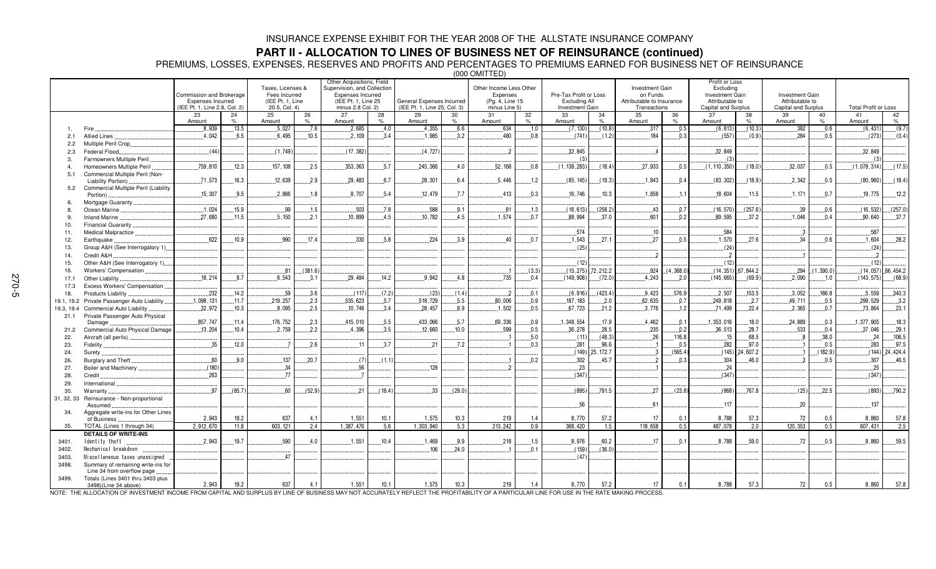### **PART II - ALLOCATION TO LINES OF BUSINESS NET OF REINSURANCE (continued)**

PREMIUMS, LOSSES, EXPENSES, RESERVES AND PROFITS AND PERCENTAGES TO PREMIUMS EARNED FOR BUSINESS NET OF REINSURANCE

(000 OMITTED)

|                |                                                                 | Commission and Brokerage<br>Expenses Incurred<br>(IEE Pt. 1, Line 2.8, Col. 2) |         | Taxes, Licenses &<br>Fees Incurred<br>(IEE Pt. 1. Line<br>20.5, Col. 4) |         | Other Acquisitions, Field<br>Supervision, and Collection<br>Expenses Incurred<br>(IEE Pt. 1. Line 25)<br>minus 2.8 Col. 2) |          | General Expenses Incurred<br>(IEE Pt. 1. Line 25, Col. 3) |               | Other Income Less Other<br>Expenses<br>(Pg. 4, Line 15)<br>minus Line 5) |            | Pre-Tax Profit or Loss<br>Excluding All<br>Investment Gain |                 | <b>Investment Gain</b><br>on Funds<br>Attributable to Insurance<br>Transactions |                | Profit or Loss<br>Excluding<br>Investment Gain<br>Attributable to<br>Capital and Surplus |                      | <b>Investment Gain</b><br>Attributable to<br>Capital and Surplus |              | <b>Total Profit or Loss</b> |                         |
|----------------|-----------------------------------------------------------------|--------------------------------------------------------------------------------|---------|-------------------------------------------------------------------------|---------|----------------------------------------------------------------------------------------------------------------------------|----------|-----------------------------------------------------------|---------------|--------------------------------------------------------------------------|------------|------------------------------------------------------------|-----------------|---------------------------------------------------------------------------------|----------------|------------------------------------------------------------------------------------------|----------------------|------------------------------------------------------------------|--------------|-----------------------------|-------------------------|
|                |                                                                 | 23<br>Amount                                                                   | 24<br>% | 25<br>Amount                                                            | 26<br>% | 27<br>Amount                                                                                                               | 28<br>O/ | 29<br>Amount                                              | 30<br>$\%$    | 31<br>Amount                                                             | 32<br>$\%$ | 33<br>Amount                                               | 34<br>%         | 35<br>Amount                                                                    | 36<br>$\%$     | 37<br>Amount                                                                             | 38<br>$\%$           | 39<br>Amount                                                     | 40<br>$\%$   | 41<br>Amount                | 42<br>%                 |
|                | Fire                                                            | .8,939                                                                         | .13.5   | .5,027                                                                  | .7.6    | .2,685                                                                                                                     | .4.0     | .4,355                                                    | .6.6          | .634                                                                     | .1.0       | (7, 130)                                                   | (10.8)          | .317                                                                            | .0.5           | (6, 813)                                                                                 | (10.3)               | .382                                                             | .0.6         | (6, 431)                    | (9.7)                   |
| 2.1            | Allied Lines                                                    | 4.042                                                                          | 6.5     | 6.495                                                                   | .10.5   | 2.109                                                                                                                      | 3.4      | 1.985                                                     | 3.2           | 480                                                                      | 0.8        | (741                                                       | (1.2)           | .184                                                                            | 0.3            | (557)                                                                                    | (0.9)                | 284                                                              | 0.5          | (273)                       | (0.4)                   |
| 2.2            | Multiple Peril Crop                                             |                                                                                |         |                                                                         |         |                                                                                                                            |          |                                                           |               |                                                                          |            |                                                            |                 |                                                                                 |                |                                                                                          |                      |                                                                  |              |                             |                         |
| 2.3            | Federal Flood                                                   | (44)                                                                           |         | (1.749)                                                                 |         | (17, 382)                                                                                                                  |          | (4, 727)                                                  |               | $\overline{\phantom{a}}$                                                 |            | 32.845                                                     |                 | $\overline{4}$                                                                  |                | .32,849                                                                                  |                      |                                                                  |              | .32,849                     |                         |
| -3.            | Farmowners Multiple Peril                                       |                                                                                |         |                                                                         |         |                                                                                                                            |          |                                                           |               |                                                                          |            |                                                            |                 |                                                                                 |                | (3)                                                                                      |                      |                                                                  |              | (3)                         |                         |
|                | Homeowners Multiple Peril                                       | 759,810                                                                        | .12.3   | 157, 108                                                                | 2.5     | .353,363                                                                                                                   | .5.7     | .245,366                                                  | 4.0           | .52,168                                                                  | 0.8        | (1, 138, 283)                                              | (18.4)          | .27,933                                                                         | 0.5            | (1, 110, 350)                                                                            | (18.0)               | .32.037                                                          | 0.5          | (1,078,314)                 | (17.5)                  |
| 5.1            | Commercial Multiple Peril (Non-<br>Liability Portion)           | .71,573                                                                        | .16.3   | .12,639                                                                 | 2.9     | .29,483                                                                                                                    | .6.7     | .28,301                                                   | 6.4           | .5.446                                                                   | .1.2       | (85, 145)                                                  | (19.3)          | .1,843                                                                          | .0.4           | (83, 302)                                                                                | (18.9)               | .2,342                                                           | .0.5         | (80, 960)                   | (18.4)                  |
| 5.2            | Commercial Multiple Peril (Liability<br>Portion)                | 15.307                                                                         | 9.5     | 2.866                                                                   | .1.8    | 8.707                                                                                                                      | 5.4      | 12.479                                                    | 7.7           | 413                                                                      | 0.3        | 16.746                                                     | .10.3           | .1,858                                                                          | 11             | 18.604                                                                                   | 11.5                 | .1.171                                                           | 0.7          | 19.775                      | 12.2                    |
|                | Mortgage Guaranty                                               |                                                                                |         |                                                                         |         |                                                                                                                            |          |                                                           |               |                                                                          |            |                                                            |                 |                                                                                 |                |                                                                                          |                      |                                                                  |              |                             |                         |
| <sup>8</sup>   | Ocean Marine                                                    | .1.024                                                                         | .15.9   | .99                                                                     | .1.5    | .503                                                                                                                       | 7.8      | .588                                                      | .9.1          | .81                                                                      | .1.3       | (16, 613)                                                  | (258.2)         | .43                                                                             | 0.7            | (16, 570)                                                                                | (257.6)              | .39                                                              | 0.6          | (16, 532)                   | (257.0)                 |
|                | Inland Marine                                                   | .27.680                                                                        | .11.5   | .5.150                                                                  | .2.1    | 10.899                                                                                                                     | .4.5     | 10.782                                                    | 4.5           | .1.574                                                                   | 0.7        | 88.994                                                     | .37.0           | .601                                                                            | 0.2            | 89,595                                                                                   | 37.2                 | 1.046                                                            | 0.4          | .90,640                     | 37.7                    |
| 10.            | Financial Guaranty                                              |                                                                                |         |                                                                         |         |                                                                                                                            |          |                                                           |               |                                                                          |            |                                                            |                 |                                                                                 |                |                                                                                          |                      |                                                                  |              |                             |                         |
| 11.            | Medical Malpractice                                             |                                                                                |         |                                                                         |         |                                                                                                                            |          |                                                           |               |                                                                          |            | .574                                                       |                 | .10                                                                             |                | .584                                                                                     |                      |                                                                  |              | .587                        |                         |
| 12.            | Earthquake                                                      | .622                                                                           | .10.9   | .990                                                                    | .17.4   | .330                                                                                                                       | .5.8     | 224                                                       | 3.9           | 40                                                                       | .0.7       | 1,543                                                      | .27.1           | .27                                                                             | 0.5            | .1,570                                                                                   | 27.6                 | .34                                                              | 0.6          | .1,604                      | .28.2                   |
| 13.            | Group A&H (See Interrogatory 1)                                 |                                                                                |         |                                                                         |         |                                                                                                                            |          |                                                           |               |                                                                          |            | (25)                                                       |                 |                                                                                 |                | (24)                                                                                     |                      |                                                                  |              | (24)                        |                         |
| 14.            | Credit A&H                                                      |                                                                                |         |                                                                         |         |                                                                                                                            |          |                                                           |               |                                                                          |            |                                                            |                 | $\overline{\phantom{a}}$                                                        |                |                                                                                          |                      |                                                                  |              | $\overline{\phantom{a}}$    |                         |
| 15.            | Other A&H (See Interrogatory 1)                                 |                                                                                |         |                                                                         |         |                                                                                                                            |          |                                                           |               |                                                                          |            | (12)                                                       |                 |                                                                                 |                | (12)                                                                                     |                      |                                                                  |              | (12)                        |                         |
| 16.            | Workers' Compensation.                                          |                                                                                |         | .81                                                                     | (381.6) |                                                                                                                            |          |                                                           |               |                                                                          | (3.3)      | (15, 275)                                                  | 72,212.2        | .924                                                                            | (4, 368.0)     |                                                                                          | $(14, 351)$ 67,844.2 | .294                                                             | (1.390.0)    |                             | $(14, 057)$ . 66, 454.2 |
| 17.1           | Other Liability.                                                | 18.214                                                                         | .8.7    | 6.543                                                                   | 3.1     | .29.484                                                                                                                    | 14.2     | 9.942                                                     | 4.8           | .735                                                                     | 0.4        | (149, 908)                                                 | (72.0)          | 4.243                                                                           | .2.0           | (145, 665)                                                                               | (69.9)               | .2.090                                                           | 1.0          | (143, 575)                  | (68.9)                  |
| 17.3           | Excess Workers' Compensation                                    |                                                                                |         |                                                                         |         |                                                                                                                            |          |                                                           |               |                                                                          |            |                                                            |                 |                                                                                 |                |                                                                                          |                      |                                                                  |              |                             |                         |
| 18.            | <b>Products Liability</b>                                       | .232                                                                           | .14.2   | .59                                                                     | .3.6    | (117)                                                                                                                      | (7.2)    | (23)                                                      | (1.4)         | $\overline{\phantom{a}}$                                                 | 0.1        | (6, 916)                                                   | (423.4)         | .9.423                                                                          | .576.9         | .2,507                                                                                   | 153.5                | .3.052                                                           | .186.8       | .5.559                      | .340.3                  |
| 19.1, 19.2     | Private Passenger Auto Liability                                | .1,098,131                                                                     | .11.7   | .219,257                                                                | 2.3     | 535,623                                                                                                                    | .5.7     | 518,729                                                   | .5.5          | .80,006                                                                  | 0.9        | 187, 183                                                   | .2.0            | .62,635                                                                         | .0.7           | 249,818                                                                                  | $-2.7$               | 49.711                                                           | .0.5         | .299,529                    | .3.2                    |
| 19.3, 19.4     | Commercial Auto Liability                                       | .32,972                                                                        | .10.3   | .8.095                                                                  | .2.5    | 10,746                                                                                                                     | 3.4      | .28,457                                                   | 8.9           | .1,502                                                                   | .0.5       | .67,723                                                    | .21.2           | .3,776                                                                          | .1.2           | .71,499                                                                                  | .22.4                | .2,365                                                           | .0.7         | .73,864                     | .23.1                   |
| 21.1           | Private Passenger Auto Physical                                 |                                                                                |         |                                                                         |         |                                                                                                                            |          |                                                           |               |                                                                          |            |                                                            |                 |                                                                                 |                |                                                                                          |                      |                                                                  |              |                             |                         |
|                | Damage                                                          | .857,747                                                                       | .11.4   | .176,752                                                                | 2.3     | .415,010                                                                                                                   | 5.5      | 433.066<br>12.660                                         | .5.7<br>.10.0 | .69.336<br>599                                                           | 0.9<br>0.5 | .1,348,554<br>.36,278                                      | .17.9           | .4.462                                                                          | 0.1            | 1,353,016                                                                                | 18.0                 | 24.889                                                           | .0.3         | .1,377,905                  | .18.3                   |
| 21.2           | Commercial Auto Physical Damage                                 | .13,204                                                                        | .10.4   | 2.759                                                                   | 2.2     | 4.396                                                                                                                      | 3.5      |                                                           |               |                                                                          | .5.0       |                                                            | .28.5<br>(48.3) | .235                                                                            | .0.2<br>116.8  | 36,513                                                                                   | 28.7<br>68.5         | 533<br>8                                                         | 0.4<br>,38.0 | .37.046                     | .29.1<br>.106.5         |
| 22.            | Aircraft (all perils).                                          | .35                                                                            | .12.0   |                                                                         | 2.6     | 11                                                                                                                         | 3.7      | .21                                                       | .7.2          |                                                                          | 0.3        | (11)<br>.281                                               | .96.6           | .26                                                                             | .0.5           | .15<br>.282                                                                              | .97.0                |                                                                  | .0.5         | .24<br>.283                 | .97.5                   |
| 23.<br>24.     | Fidelity<br>Surety                                              |                                                                                |         |                                                                         |         |                                                                                                                            |          |                                                           |               |                                                                          |            | (149)                                                      | 25, 172.7       | $\cdot$ 3                                                                       | (565.4)        | (145)                                                                                    | 24.607.2             |                                                                  | (182.9)      | (144)                       | 24,424.4                |
| 26.            | Burglary and Theft                                              | .60                                                                            | .9.0    | .137                                                                    | .20.7   | (7)                                                                                                                        | (1.1)    |                                                           |               |                                                                          | 0.2        | .302                                                       | .45.7           |                                                                                 | 0.3            | .304                                                                                     | .46.0                |                                                                  | .0.5         | .307                        | .46.5                   |
| 27.            | Boiler and Machinery                                            | (180)                                                                          |         | .34                                                                     |         | .56                                                                                                                        |          | 128                                                       |               |                                                                          |            | .23                                                        |                 |                                                                                 |                | .24                                                                                      |                      |                                                                  |              | .25                         |                         |
| 28.            | Credit.                                                         | 263                                                                            |         | .77                                                                     |         |                                                                                                                            |          |                                                           |               |                                                                          |            | (347)                                                      |                 |                                                                                 |                | (347)                                                                                    |                      |                                                                  |              | (347)                       |                         |
| 29.            | International                                                   |                                                                                |         |                                                                         |         |                                                                                                                            |          |                                                           |               |                                                                          |            |                                                            |                 |                                                                                 |                |                                                                                          |                      |                                                                  |              |                             |                         |
| 30.            | Warranty                                                        | 97                                                                             | (85.7)  | .60                                                                     | (52.9)  | .21                                                                                                                        | (18.4)   | 33                                                        | (29.0)        |                                                                          |            | (895)                                                      | 791.5           | .27                                                                             | (23.8)         | (868)                                                                                    | 767.8                | (25)                                                             | 22.5         | (893)                       | .790.2                  |
| 31, 32, 33     | Reinsurance - Non-proportional<br>Assumed                       |                                                                                |         |                                                                         |         |                                                                                                                            |          |                                                           |               |                                                                          |            | 56                                                         |                 | .61                                                                             |                | .117                                                                                     |                      | 20                                                               |              | .137                        |                         |
| 34.            | Aggregate write-ins for Other Lines                             | 2.943                                                                          |         | 637                                                                     |         |                                                                                                                            |          |                                                           |               |                                                                          |            |                                                            | 57.2            |                                                                                 |                |                                                                                          |                      | 72                                                               |              |                             |                         |
|                | of Business                                                     |                                                                                | 19.2    |                                                                         | 4.1     | 1,551                                                                                                                      | 10.1     | 1,575                                                     | 10.3          | 219                                                                      | 1.4        | 8,770                                                      |                 | 17                                                                              | 0.1            | 8,788                                                                                    | 57.3                 |                                                                  | 0.5          | 8,860                       | 57.8                    |
| 35.            | TOTAL (Lines 1 through 34)                                      | 2.912.670                                                                      | 11.8    | 603, 121                                                                | 2.4     | 1.387.476                                                                                                                  | 5.6      | 1,303,940                                                 | 5.3           | 213.242                                                                  | 0.9        | 368,420                                                    | 1.5             | 118,658                                                                         | 0.5            | 487.078                                                                                  | 2.0                  | 120,353                                                          | 0.5          | 607.431                     | 2.5                     |
|                | <b>DETAILS OF WRITE-INS</b><br>Identity theft                   | 2.943                                                                          | .19.7   | .590                                                                    | 4.0     | .1,551                                                                                                                     | 10.4     | .1.469                                                    | 9.9           | .218                                                                     | .1.5       | .8,976                                                     | .60.2           | 17                                                                              | 0 <sub>1</sub> | .8,788                                                                                   | .59.0                | .72                                                              | .0.5         | .8.860                      | .59.5                   |
| 3401.<br>3402. | Mechanical breakdown                                            |                                                                                |         |                                                                         |         |                                                                                                                            |          | 106                                                       | 24.0          |                                                                          | 0.1        | (159)                                                      | (36.0)          |                                                                                 |                |                                                                                          |                      |                                                                  |              |                             |                         |
|                | Miscellaneous taxes unassigned                                  |                                                                                |         | .47                                                                     |         |                                                                                                                            |          |                                                           |               |                                                                          |            | (47)                                                       |                 |                                                                                 |                |                                                                                          |                      |                                                                  |              |                             |                         |
| 3403.<br>3498. | Summary of remaining write-ins for                              |                                                                                |         |                                                                         |         |                                                                                                                            |          |                                                           |               |                                                                          |            |                                                            |                 |                                                                                 |                |                                                                                          |                      |                                                                  |              |                             |                         |
| 3499.          | Line 34 from overflow page<br>Totals (Lines 3401 thru 3403 plus |                                                                                |         |                                                                         |         |                                                                                                                            |          |                                                           |               |                                                                          |            |                                                            |                 |                                                                                 |                |                                                                                          |                      |                                                                  |              |                             |                         |
|                | 3498)(Line 34 above)                                            | 2,943                                                                          | 19.2    | 637                                                                     | 4.1     | 1,551                                                                                                                      | 10.1     | 1,575                                                     | 10.3          | 219                                                                      | 1.4        | 8,770                                                      | 57.2            | 17                                                                              | 0.1            | 8,788                                                                                    | 57.3                 | 72                                                               | 0.5          | 8,860                       | 57.8                    |

NOTE: THE ALLOCATION OF INVESTMENT INCOME FROM CAPITAL AND SURPLUS BY LINE OF BUSINESS MAY NOT ACCURATELY REFLECT THE PROFITABILITY OF A PARTICULAR LINE FOR USE IN THE RATE MAKING PROCESS.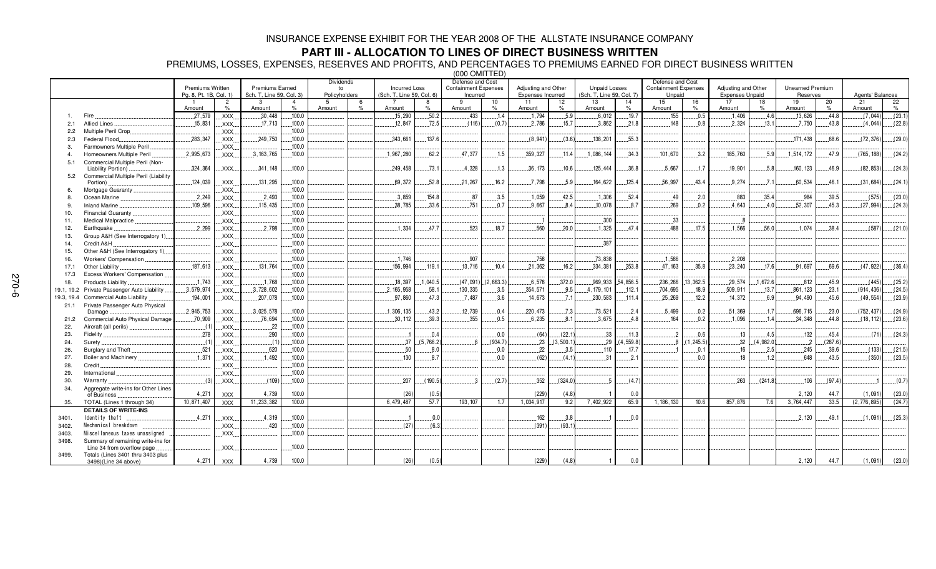## **PART III - ALLOCATION TO LINES OF DIRECT BUSINESS WRITTEN**

PREMIUMS, LOSSES, EXPENSES, RESERVES AND PROFITS, AND PERCENTAGES TO PREMIUMS EARNED FOR DIRECT BUSINESS WRITTEN

(000 OMITTED) Premiums Written Pg. 8, Pt. 1B, Col. 1) Premiums Earned Sch. T, Line 59, Col. 3) Dividendsto Policyholders Incurred Loss (Sch. T, Line 59, Col. 6) Defense and Cost Containment Expenses IncurredAdjusting and Other Expenses Incurred Unpaid Losses (Sch. T, Line 59, Col. 7) Defense and Cost Containment Expenses **Unpaid** Adjusting and Other Expenses Unpaid Unearned PremiumReservesAgents' Balances 1 Amount 2 %3 Amount4 % $.100.0$ 5 Amount %7 Amount 8% $.50.2$ 9 Amount 10%11 Amount 12%13 Amount 14 % $.19.7$ 15 Amount 16 %17 Amount 18 %19 Amount 20 % $.44.8$  $21$  Amount 22  $\mathsf{o}/\mathsf{s}$  $(044)$   $(23.1)$ 1. Fire -579, XXX $.30,448$ 8 ………100.0 ……………………………………………………………15,290 …………50.2 ……………………433 …………1.4 ………………1,7  $...1.794$  $.5.9$   $.6.012$ 7 |………………155 |………0.5 |……………1,406 |…………4.6|…………13,626 |………44.8  $17.044$ 2.1Allied Lines...  $.15,831$  XXX.....L............17,713  $.12.847$ 7 - 72.5  $(116)$   $(0.7)$ <u>) [. . . . . . . . . . . . 2,</u> 786 15.7  $.21.8$  $.148$  $.0.8$   -, 750  $.43.8$  $(4,044)$  $(22.8)$ 2.2 Multiple Peril Crop XXX  2.3Federal Flood.. .283,347 XXXX.... L.......... 249 , 750  - $.137.6$   $\ldots$  (8,941)  $\ldots$  (3.6)  $\ldots$  138,201  - $.171,438$ 8 L......68.6 -- $(29.0)$ 3. Farmowners Multiple Peril XXX  4. Homeowners Multiple Peril -2.995.673  $XXX$ X.... L.......3, 163,765  -  $-62.2$ .377  $1.5$   $1.5$   $359.327$  $11.4$  .......1.086.144  - $3.2$ 5,760  -2 L......47.9 9 L………(765,188  $(24.2)$ 5.1 Commercial Multiple Peril (Non-Liability Portion) 
 XXX 8 L........73.1  $.4,328$   - $10.6$   $125,444$   $10.6$  $.5,667$  $.1.7$  $19,901$  ..........5.8  $160, 123$  .......46.9  $(82, 853)$  $(24.3)$ 5.2 Commercial Multiple Peril (Liability Portion) XXX  - $.69.372$  $.52.8$ .21,267  $16.2$ ,798   -  - -
 $(24.1)$ 6. Mortgage Guaranty XXX  8. Ocean Marine XXX 3.859 154.8 - 83 35.4 984  $.39.5$   $\Big]$   $.575$  $(23.0)$ 9. Inland Marine XXXXXX... ............115.435 ........100.0 , 785  $33.f$ 751  $0.7$ 9.667 7 L. . . . . . . . 8.4 4 <u>| . . . . . . . . . . 1</u>0 , 078 -  
  -  - $(24.3)$ 10. Financial Guaranty XXX  11. Medical Malpractice XXX  12. Earthquake XXX - $.2.798$   - $47<sup>2</sup>$ 523 18.7 .560 .........20.0 .................1.325  $474$ 4 L. . . . . . . . . . . . . . . 488 8 L.......17.5  $1.566$  .........56.0  $.1.074$ 4 L. . . . . 38.4 - $(21.0)$ 13. Group A&H (See Interrogatory 1) XXX  14. Credit A&H XXX .387 15. Other A&H (See Interrogatory 1) XXX  16. Workers'Compensation XXX  - $.1.746$ .907 -758 -3,838  $.2.208$ 17.1 Other Liability 187.613 XXX - 4 |……100.0 |……………………… |……………… |…………156 ,994 |……. 119.1 |…………..13 ,7  $.13.716$  334.381 253.8 47.163  $.35.8$  $.23.240$  $176$ 91.697  $69.6$   $(47.922)$  $(36.4)$ 17.3 Excess Workers'Compensation XXX  18. Products Liability - $1.743$  XXX -  $.100.0$ 18.397  $1.040.5$   $(47.091)$ 2.663.3 6.578 -969.933 54.856.5 236.266 13.362.5 .29.574 4 ….1,672.6  $(45.9$   $(445)$   $(25.2)$ 19.1, 19.2 Private Passenger Auto Liability -9,974 XXX.....L......3,728 8 L........58.1  $-130.335$   $-3.5$ .354.571  $9.5$   $4.179.101$  $-112.1$ 704.695 18.9 509.911 13.7 861.123 .861, 123 ........23.1 ......... (914, 436) .......(24.5<br>...94, 490 ..........45.6 ................(49, 554) .......(23.9 19.3, 19.4 Commercial Auto Liability ...............................194,001 ........................ ,078  $-100.0$ , 860 - - -  
-3 L.........7.1   - $.14,372$  $6.9$   $94,490$   $10.45.6$   $(49,554)$   $(23.9)$ 21.1 Private Passenger Auto Physical Damage 2.945.753 XXXX.... L.......3,025,578   -12.739  - -73.521 3,521 |........2.4 |.............5,499 |........0.2 |...........51,369 |..........1.7 7 ...........696,715  - $(752.437$  $(24.9)$ 21.2Commercial Auto Physical Damage  $70.909$  XXX .76.694 6,694 [……100.0]……………………[……………[…………30, 112]………39.3]………………355 […………0.5]…………6,235 [……….8  $8.1$  - $4.8$  44.8  $(18.112)$  $(23.6)$ 22. Aircraft (all perils) XXX  23.**Fidelity** 278 XXX         - $(71)$   $(24.3)$ 24. Surety XXX  -37 (5.766.2  $(934.7)$  $23$   $(3,500.1)$  23  $(4,559.8)$   $(1.245.5)$   $32$   $(4.982.0)$  - 26. Burglary and Theft XXX   $8($    - $-17.7$ 7]…………………1]………0.1|…………………16|…………2.5|………………245|………39.6|……………(133)……(21.5) 27. Boiler and Machinery - $.1,371$  XXX  $.8.7$   $18$  1.2 648  $-43.5$   $(350)$   $(23.5)$ 28. Credit XXX $100.0$ 29. International XXX...100.0<br>...100.0 30. Warranty XXX  -  -  - $263$  (241.8)  $106$  ......(97.4)  - 34. Aggregate write-ins for Other Lines of Business - XXXX | 4,739 9 | 100.0 | | | | (26) | (0.5) | | | (29) | (4.8 ) 1 0.0 1 0.0  $\vert$  1 0.0  $\vert$  1  $\vert$  2,120 44.7 44.7 (1.091) (23.0 35.TOTAL (Lines 1 through 34) 10,8 71,407 XXXX | 11,233,382  $100.0$ 9,487 7 57.7 193, 107  $1.7$ 1.034.917  $9.2$ 7,402,922 65.9  $1,186,130$  10.6 57,876 6 7.6  $6$   $3,764,447$ 33.5 76,8 95) (24.7) **DETAILS OF WRITE-INS** 3401.Identity theft.  $.4,271$  XXX 3402. ! XXX  - 3403. " #" \$" #""% XXX  3498. Summary of remaining write-ins for Line 34 from overflow page XXX  3499. Totals (Lines 3401 thru 3403 plus  $3498$ )(Line 34 above) 4,271 XXXX 4,739 ) 1 0.0 | | | | | | | | 2,120 | 44.7 44.7 (1,091) (23.0)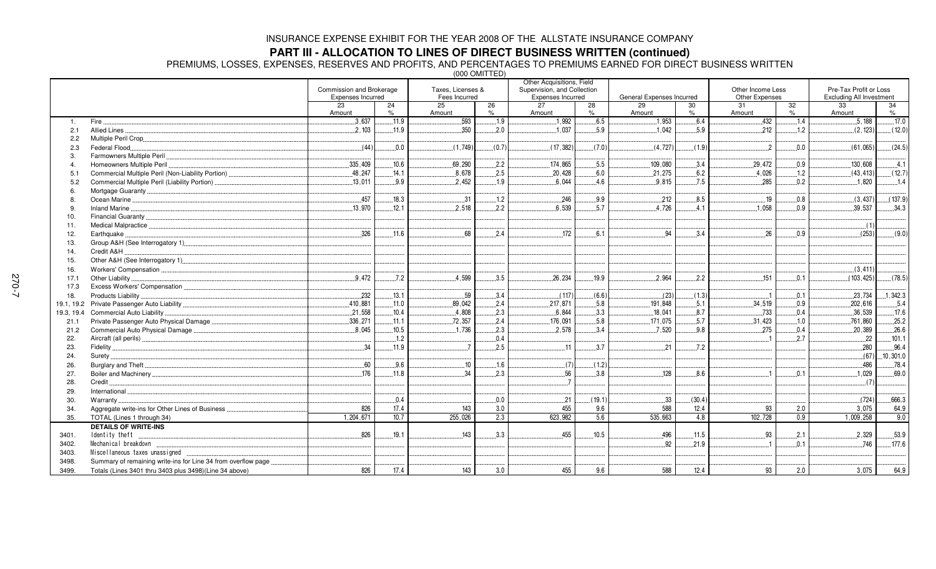## **PART III - ALLOCATION TO LINES OF DIRECT BUSINESS WRITTEN (continued)**

PREMIUMS, LOSSES, EXPENSES, RESERVES AND PROFITS, AND PERCENTAGES TO PREMIUMS EARNED FOR DIRECT BUSINESS WRITTEN

(000 OMITTED)

| Commission and Brokerage<br>Taxes. Licenses &<br>Supervision, and Collection<br>Other Income Less<br>Expenses Incurred<br>Other Expenses<br>Expenses Incurred<br>Fees Incurred<br>General Expenses Incurred<br>23<br>24<br>25<br>26<br>27<br>28<br>29<br>30<br>31<br>32<br>$\%$<br>$\%$<br>$\%$<br>%<br>Amount<br>Amount<br>Amount<br>Amount<br>Amount | Pre-Tax Profit or Loss<br><b>Excluding All Investment</b><br>33<br>34<br>$\%$<br>Amount<br>.5,188<br>.17.0<br>(2.123)<br>(12.0) |
|--------------------------------------------------------------------------------------------------------------------------------------------------------------------------------------------------------------------------------------------------------------------------------------------------------------------------------------------------------|---------------------------------------------------------------------------------------------------------------------------------|
|                                                                                                                                                                                                                                                                                                                                                        |                                                                                                                                 |
|                                                                                                                                                                                                                                                                                                                                                        |                                                                                                                                 |
|                                                                                                                                                                                                                                                                                                                                                        |                                                                                                                                 |
| .593<br>.1.9<br>.1,992<br>.6.5<br>6.4<br>.432<br>.3,637<br>.11.9<br>.1,953<br>.1.4<br>Fire.<br>1.                                                                                                                                                                                                                                                      |                                                                                                                                 |
| 350<br>.1,037<br>2.103<br>.11.9<br>2.0<br>5.9<br>1.042<br>5.9<br>212<br><b>Allied Lines</b><br>1.2<br>2.1                                                                                                                                                                                                                                              |                                                                                                                                 |
| 2.2                                                                                                                                                                                                                                                                                                                                                    |                                                                                                                                 |
| (44)<br>(0.7)<br>0.0<br>(1.749)<br>(17, 382)<br>(7.0)<br>(4, 727)<br>(1.9)<br>$\overline{2}$<br>0.0<br>Federal Flood<br>2.3                                                                                                                                                                                                                            | (24.5)<br>(61,065)                                                                                                              |
| -3.                                                                                                                                                                                                                                                                                                                                                    |                                                                                                                                 |
| .335,409<br>.10.6<br>.69,290<br>.174,865<br>29.472<br>2.2<br>5.5<br>109,080<br>.3.4<br>Homeowners Multiple Peril<br>0.9                                                                                                                                                                                                                                | 4.1<br>130.608                                                                                                                  |
| .2.5<br>.20,428<br>.6.2<br>.4,026<br>.48,247<br>.14.1<br>.8,678<br>.6.0<br>21,275<br>.1.2<br>5.1                                                                                                                                                                                                                                                       | (43, 413)<br>(12.7)                                                                                                             |
| .7.5<br>.13,011<br>.9.9<br>.2.452<br>.1.9<br>6,044<br>4.6<br>.9.815<br>.285<br>.0.2<br>Commercial Multiple Peril (Liability Portion)<br>5.2                                                                                                                                                                                                            | .1.820<br>.1.4                                                                                                                  |
| 6                                                                                                                                                                                                                                                                                                                                                      |                                                                                                                                 |
| .457<br>18.3<br>.31<br>.1.2<br>.246<br>.9.9<br>.212<br>.8.5<br>.19<br>.0.8<br>8                                                                                                                                                                                                                                                                        | (137.9)<br>(3, 437)                                                                                                             |
| .1,058<br>.13.970<br>2.518<br>2.2<br>6.539<br>5.7<br>.12.1<br>4,726<br>4.1<br>0.9<br>-9                                                                                                                                                                                                                                                                | .34.3<br>.39,537                                                                                                                |
| 10.                                                                                                                                                                                                                                                                                                                                                    |                                                                                                                                 |
| 11.                                                                                                                                                                                                                                                                                                                                                    | (1)                                                                                                                             |
| .326<br>.68<br>.172<br>26<br>.11.6<br>2.4<br>94<br>.3.4<br>6.1<br>0.9<br>Earthquake<br>12.                                                                                                                                                                                                                                                             | (253)<br>(9.0)                                                                                                                  |
| 13.                                                                                                                                                                                                                                                                                                                                                    |                                                                                                                                 |
| Credit A&H<br>14.                                                                                                                                                                                                                                                                                                                                      |                                                                                                                                 |
| 15.                                                                                                                                                                                                                                                                                                                                                    |                                                                                                                                 |
| 16.                                                                                                                                                                                                                                                                                                                                                    | (3, 411)                                                                                                                        |
| 9.472<br>.4.599<br>151<br>.7.2<br>3.5<br>.26,234<br>.19.9<br>2.964<br>.2.2<br>0.1<br>Other Liability<br>17.1                                                                                                                                                                                                                                           | (103, 425)<br>(78.5)                                                                                                            |
| 17.3                                                                                                                                                                                                                                                                                                                                                   |                                                                                                                                 |
| .59<br>232<br>.13.1<br>.3.4<br>(6.6)<br>(1.3)<br>(117)<br>(23)<br>.0.1<br>Products Liability.<br>18.                                                                                                                                                                                                                                                   | .1,342.3<br>.23,734                                                                                                             |
| 89,042<br>34,519<br>.410.881<br>11.0<br>2.4<br>217,871<br>5.8<br>191,848<br>5.1<br>0.9<br>19.1, 19.2                                                                                                                                                                                                                                                   | .5.4<br>202,616                                                                                                                 |
| .21,558<br>.8.7<br>.733<br>.10.4<br>.4,808<br>.2.3<br>6,844<br>.3.3<br>.18,041<br>0.4<br>Commercial Auto Liability<br>19.3, 19.4                                                                                                                                                                                                                       | .17.6<br>.36,539                                                                                                                |
| .5.7<br>.336.271<br>.11.1<br>72.357<br>.2.4<br>.5.8<br>.171,075<br>.31,423<br>.176,091<br>.1.0<br>21.1                                                                                                                                                                                                                                                 | .25.2<br>761.860                                                                                                                |
| 9.8<br>.275<br>8.045<br>.10.5<br>1.736<br>.2.3<br>.2.578<br>3.4<br>.7.520<br>Commercial Auto Physical Damage<br>0.4<br>21.2                                                                                                                                                                                                                            | .26.6<br>.20,389                                                                                                                |
| 1.2<br>2.7<br>0.4<br>22.                                                                                                                                                                                                                                                                                                                               | 22<br>.101.1                                                                                                                    |
| 34<br>.11.9<br>2.5<br>11<br>3.7<br>.7.2<br>$\overline{7}$<br>.21<br>23.                                                                                                                                                                                                                                                                                | .280<br>.96.4                                                                                                                   |
| 24.                                                                                                                                                                                                                                                                                                                                                    | (67)<br>.10,301.0                                                                                                               |
| .60<br>9.6<br>.10<br>.1.6<br>(7)<br>(1.2)<br>26.                                                                                                                                                                                                                                                                                                       | 486<br>.78.4                                                                                                                    |
| 56<br>176<br>128<br>34<br>3.8<br>8.6<br>0.1<br>11.8<br>2.3<br>$\overline{1}$<br>27.                                                                                                                                                                                                                                                                    | .69.0<br>.1.029                                                                                                                 |
| 28.                                                                                                                                                                                                                                                                                                                                                    | (7)                                                                                                                             |
| 29.                                                                                                                                                                                                                                                                                                                                                    |                                                                                                                                 |
| 0.0<br>.21<br>(19.1)<br>33<br>.0.4<br>(30.4)<br>30.<br>Warranty                                                                                                                                                                                                                                                                                        | (724)<br>.666.3                                                                                                                 |
| 826<br>17.4<br>455<br>588<br>12.4<br>93<br>143<br>3.0<br>9.6<br>Aggregate write-ins for Other Lines of Business<br>2.0<br>34.                                                                                                                                                                                                                          | 64.9<br>3,075                                                                                                                   |
| 623,982<br>10.7<br>255,026<br>2.3<br>5.6<br>535,663<br>102,728<br>0.9<br>1,204,671<br>4.8<br>35.<br>TOTAL (Lines 1 through 34)                                                                                                                                                                                                                         | 1,009,258<br>9.0                                                                                                                |
| <b>DETAILS OF WRITE-INS</b>                                                                                                                                                                                                                                                                                                                            |                                                                                                                                 |
| .826<br>.19.1<br>143<br>3.3<br>455<br>10.5<br>.496<br>.11.5<br>.93<br>Identity theft<br>2.1<br>3401.                                                                                                                                                                                                                                                   | 53.9<br>2,329                                                                                                                   |
| .21.9<br>92<br>0.1<br>Mechanical breakdown<br>3402.                                                                                                                                                                                                                                                                                                    | 746<br>.177.6                                                                                                                   |
| Miscellaneous taxes unassigned<br>3403.                                                                                                                                                                                                                                                                                                                |                                                                                                                                 |
| Summary of remaining write-ins for Line 34 from overflow page<br>3498.                                                                                                                                                                                                                                                                                 |                                                                                                                                 |
| 455<br>93<br>826<br>17.4<br>143<br>3.0<br>9.6<br>588<br>12.4<br>2.0<br>Totals (Lines 3401 thru 3403 plus 3498)(Line 34 above)<br>3499.                                                                                                                                                                                                                 | 3,075<br>64.9                                                                                                                   |